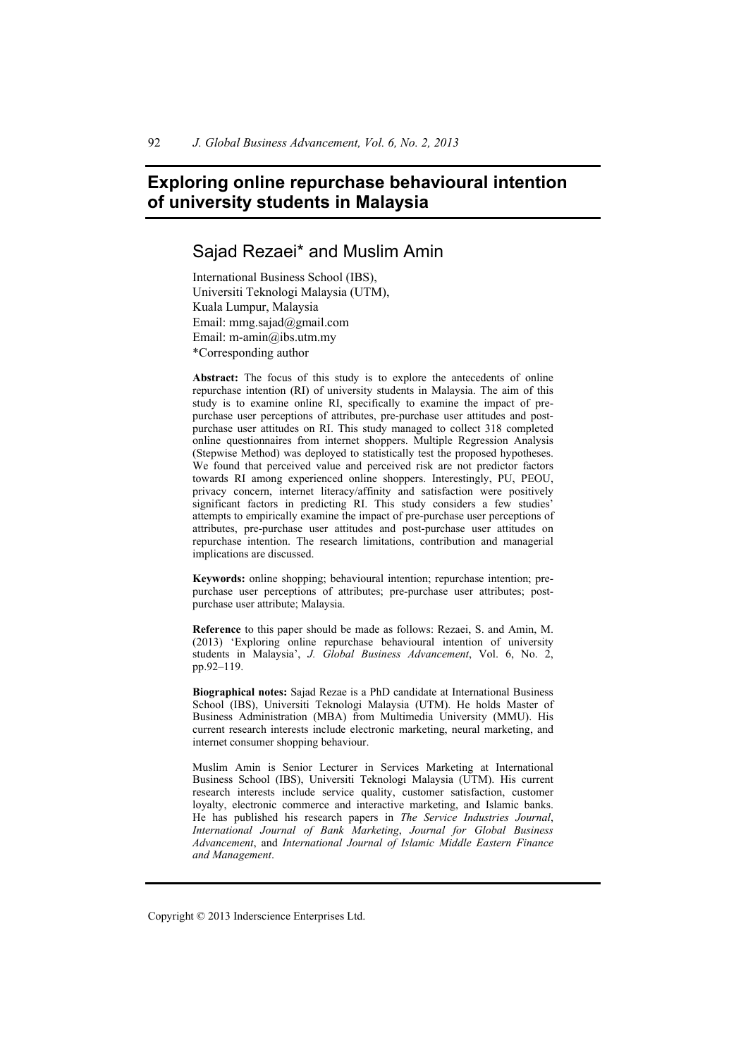# **Exploring online repurchase behavioural intention of university students in Malaysia**

# Sajad Rezaei\* and Muslim Amin

International Business School (IBS), Universiti Teknologi Malaysia (UTM), Kuala Lumpur, Malaysia Email: mmg.sajad@gmail.com Email: m-amin@ibs.utm.my \*Corresponding author

**Abstract:** The focus of this study is to explore the antecedents of online repurchase intention (RI) of university students in Malaysia. The aim of this study is to examine online RI, specifically to examine the impact of prepurchase user perceptions of attributes, pre-purchase user attitudes and postpurchase user attitudes on RI. This study managed to collect 318 completed online questionnaires from internet shoppers. Multiple Regression Analysis (Stepwise Method) was deployed to statistically test the proposed hypotheses. We found that perceived value and perceived risk are not predictor factors towards RI among experienced online shoppers. Interestingly, PU, PEOU, privacy concern, internet literacy/affinity and satisfaction were positively significant factors in predicting RI. This study considers a few studies' attempts to empirically examine the impact of pre-purchase user perceptions of attributes, pre-purchase user attitudes and post-purchase user attitudes on repurchase intention. The research limitations, contribution and managerial implications are discussed.

**Keywords:** online shopping; behavioural intention; repurchase intention; prepurchase user perceptions of attributes; pre-purchase user attributes; postpurchase user attribute; Malaysia.

**Reference** to this paper should be made as follows: Rezaei, S. and Amin, M. (2013) 'Exploring online repurchase behavioural intention of university students in Malaysia', *J. Global Business Advancement*, Vol. 6, No. 2, pp.92–119.

**Biographical notes:** Sajad Rezae is a PhD candidate at International Business School (IBS), Universiti Teknologi Malaysia (UTM). He holds Master of Business Administration (MBA) from Multimedia University (MMU). His current research interests include electronic marketing, neural marketing, and internet consumer shopping behaviour.

Muslim Amin is Senior Lecturer in Services Marketing at International Business School (IBS), Universiti Teknologi Malaysia (UTM). His current research interests include service quality, customer satisfaction, customer loyalty, electronic commerce and interactive marketing, and Islamic banks. He has published his research papers in *The Service Industries Journal*, *International Journal of Bank Marketing*, *Journal for Global Business Advancement*, and *International Journal of Islamic Middle Eastern Finance and Management*.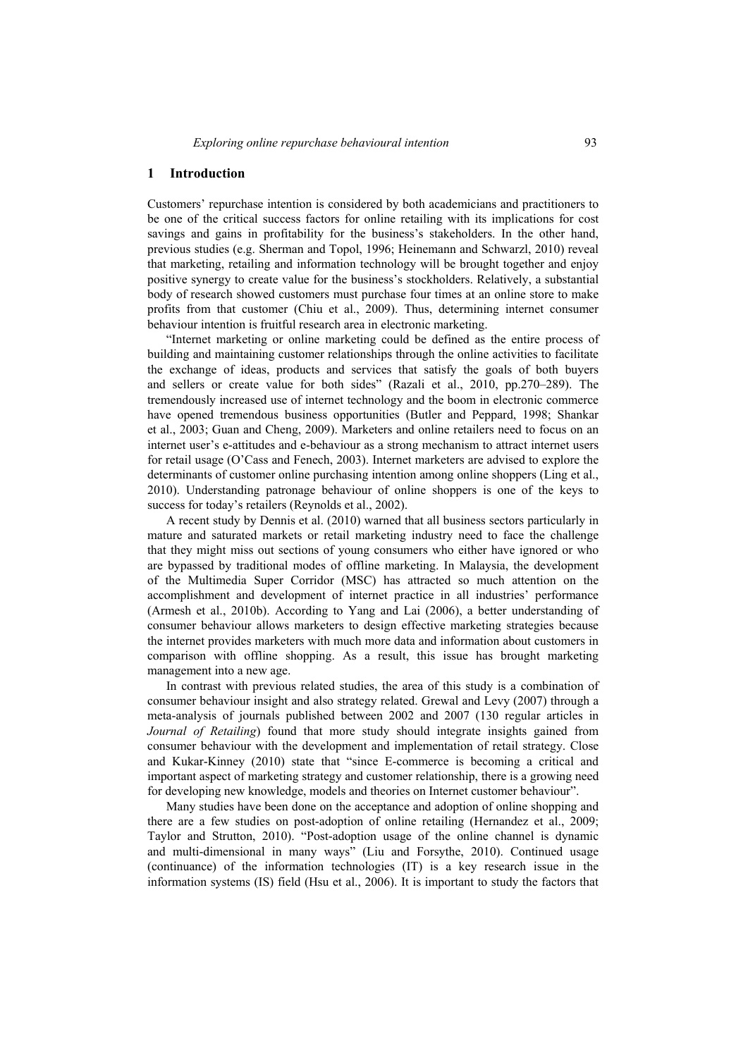#### **1 Introduction**

Customers' repurchase intention is considered by both academicians and practitioners to be one of the critical success factors for online retailing with its implications for cost savings and gains in profitability for the business's stakeholders. In the other hand, previous studies (e.g. Sherman and Topol, 1996; Heinemann and Schwarzl, 2010) reveal that marketing, retailing and information technology will be brought together and enjoy positive synergy to create value for the business's stockholders. Relatively, a substantial body of research showed customers must purchase four times at an online store to make profits from that customer (Chiu et al., 2009). Thus, determining internet consumer behaviour intention is fruitful research area in electronic marketing.

"Internet marketing or online marketing could be defined as the entire process of building and maintaining customer relationships through the online activities to facilitate the exchange of ideas, products and services that satisfy the goals of both buyers and sellers or create value for both sides" (Razali et al., 2010, pp.270–289). The tremendously increased use of internet technology and the boom in electronic commerce have opened tremendous business opportunities (Butler and Peppard, 1998; Shankar et al., 2003; Guan and Cheng, 2009). Marketers and online retailers need to focus on an internet user's e-attitudes and e-behaviour as a strong mechanism to attract internet users for retail usage (O'Cass and Fenech, 2003). Internet marketers are advised to explore the determinants of customer online purchasing intention among online shoppers (Ling et al., 2010). Understanding patronage behaviour of online shoppers is one of the keys to success for today's retailers (Reynolds et al., 2002).

A recent study by Dennis et al. (2010) warned that all business sectors particularly in mature and saturated markets or retail marketing industry need to face the challenge that they might miss out sections of young consumers who either have ignored or who are bypassed by traditional modes of offline marketing. In Malaysia, the development of the Multimedia Super Corridor (MSC) has attracted so much attention on the accomplishment and development of internet practice in all industries' performance (Armesh et al., 2010b). According to Yang and Lai (2006), a better understanding of consumer behaviour allows marketers to design effective marketing strategies because the internet provides marketers with much more data and information about customers in comparison with offline shopping. As a result, this issue has brought marketing management into a new age.

In contrast with previous related studies, the area of this study is a combination of consumer behaviour insight and also strategy related. Grewal and Levy (2007) through a meta-analysis of journals published between 2002 and 2007 (130 regular articles in *Journal of Retailing*) found that more study should integrate insights gained from consumer behaviour with the development and implementation of retail strategy. Close and Kukar-Kinney (2010) state that "since E-commerce is becoming a critical and important aspect of marketing strategy and customer relationship, there is a growing need for developing new knowledge, models and theories on Internet customer behaviour".

Many studies have been done on the acceptance and adoption of online shopping and there are a few studies on post-adoption of online retailing (Hernandez et al., 2009; Taylor and Strutton, 2010). "Post-adoption usage of the online channel is dynamic and multi-dimensional in many ways" (Liu and Forsythe, 2010). Continued usage (continuance) of the information technologies (IT) is a key research issue in the information systems (IS) field (Hsu et al., 2006). It is important to study the factors that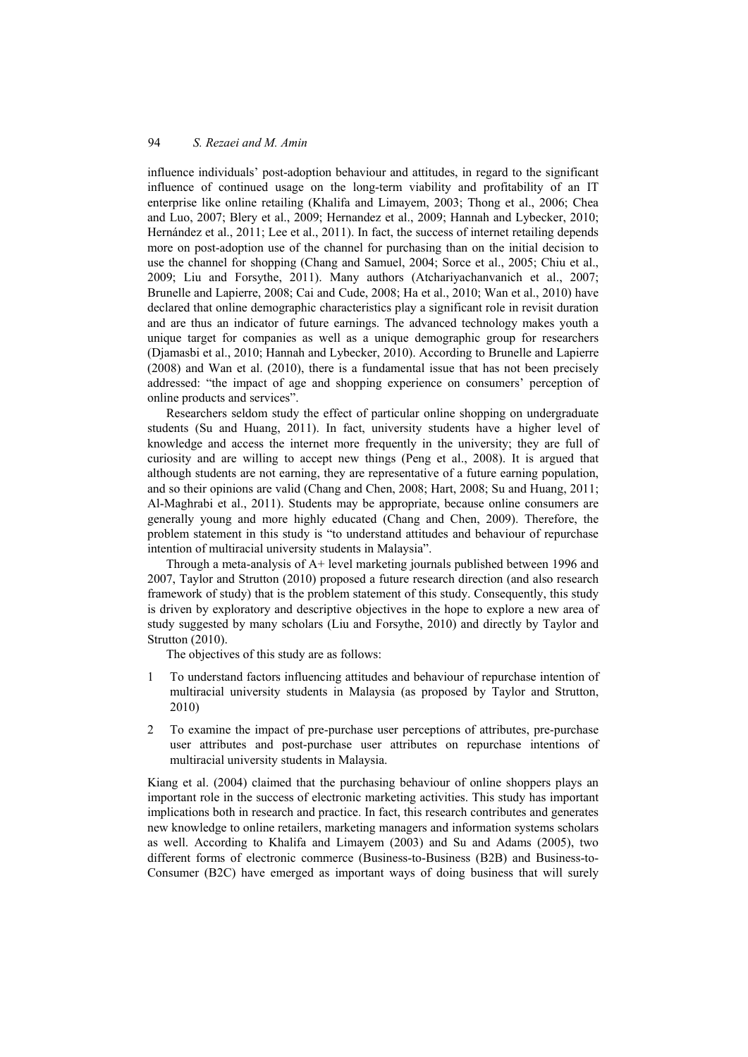influence individuals' post-adoption behaviour and attitudes, in regard to the significant influence of continued usage on the long-term viability and profitability of an IT enterprise like online retailing (Khalifa and Limayem, 2003; Thong et al., 2006; Chea and Luo, 2007; Blery et al., 2009; Hernandez et al., 2009; Hannah and Lybecker, 2010; Hernández et al., 2011; Lee et al., 2011). In fact, the success of internet retailing depends more on post-adoption use of the channel for purchasing than on the initial decision to use the channel for shopping (Chang and Samuel, 2004; Sorce et al., 2005; Chiu et al., 2009; Liu and Forsythe, 2011). Many authors (Atchariyachanvanich et al., 2007; Brunelle and Lapierre, 2008; Cai and Cude, 2008; Ha et al., 2010; Wan et al., 2010) have declared that online demographic characteristics play a significant role in revisit duration and are thus an indicator of future earnings. The advanced technology makes youth a unique target for companies as well as a unique demographic group for researchers (Djamasbi et al., 2010; Hannah and Lybecker, 2010). According to Brunelle and Lapierre (2008) and Wan et al. (2010), there is a fundamental issue that has not been precisely addressed: "the impact of age and shopping experience on consumers' perception of online products and services".

Researchers seldom study the effect of particular online shopping on undergraduate students (Su and Huang, 2011). In fact, university students have a higher level of knowledge and access the internet more frequently in the university; they are full of curiosity and are willing to accept new things (Peng et al., 2008). It is argued that although students are not earning, they are representative of a future earning population, and so their opinions are valid (Chang and Chen, 2008; Hart, 2008; Su and Huang, 2011; Al-Maghrabi et al., 2011). Students may be appropriate, because online consumers are generally young and more highly educated (Chang and Chen, 2009). Therefore, the problem statement in this study is "to understand attitudes and behaviour of repurchase intention of multiracial university students in Malaysia".

Through a meta-analysis of A+ level marketing journals published between 1996 and 2007, Taylor and Strutton (2010) proposed a future research direction (and also research framework of study) that is the problem statement of this study. Consequently, this study is driven by exploratory and descriptive objectives in the hope to explore a new area of study suggested by many scholars (Liu and Forsythe, 2010) and directly by Taylor and Strutton (2010).

The objectives of this study are as follows:

- 1 To understand factors influencing attitudes and behaviour of repurchase intention of multiracial university students in Malaysia (as proposed by Taylor and Strutton, 2010)
- 2 To examine the impact of pre-purchase user perceptions of attributes, pre-purchase user attributes and post-purchase user attributes on repurchase intentions of multiracial university students in Malaysia.

Kiang et al. (2004) claimed that the purchasing behaviour of online shoppers plays an important role in the success of electronic marketing activities. This study has important implications both in research and practice. In fact, this research contributes and generates new knowledge to online retailers, marketing managers and information systems scholars as well. According to Khalifa and Limayem (2003) and Su and Adams (2005), two different forms of electronic commerce (Business-to-Business (B2B) and Business-to-Consumer (B2C) have emerged as important ways of doing business that will surely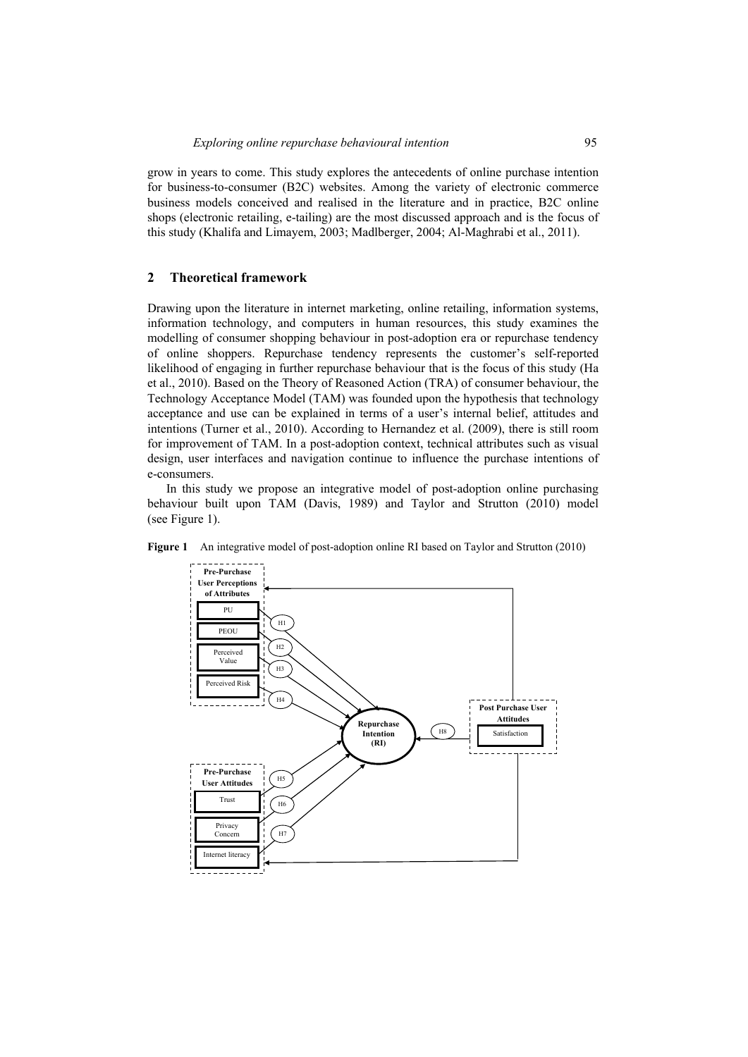grow in years to come. This study explores the antecedents of online purchase intention for business-to-consumer (B2C) websites. Among the variety of electronic commerce business models conceived and realised in the literature and in practice, B2C online shops (electronic retailing, e-tailing) are the most discussed approach and is the focus of this study (Khalifa and Limayem, 2003; Madlberger, 2004; Al-Maghrabi et al., 2011).

# **2 Theoretical framework**

Drawing upon the literature in internet marketing, online retailing, information systems, information technology, and computers in human resources, this study examines the modelling of consumer shopping behaviour in post-adoption era or repurchase tendency of online shoppers. Repurchase tendency represents the customer's self-reported likelihood of engaging in further repurchase behaviour that is the focus of this study (Ha et al., 2010). Based on the Theory of Reasoned Action (TRA) of consumer behaviour, the Technology Acceptance Model (TAM) was founded upon the hypothesis that technology acceptance and use can be explained in terms of a user's internal belief, attitudes and intentions (Turner et al., 2010). According to Hernandez et al. (2009), there is still room for improvement of TAM. In a post-adoption context, technical attributes such as visual design, user interfaces and navigation continue to influence the purchase intentions of e-consumers.

In this study we propose an integrative model of post-adoption online purchasing behaviour built upon TAM (Davis, 1989) and Taylor and Strutton (2010) model (see Figure 1).



**Figure 1** An integrative model of post-adoption online RI based on Taylor and Strutton (2010)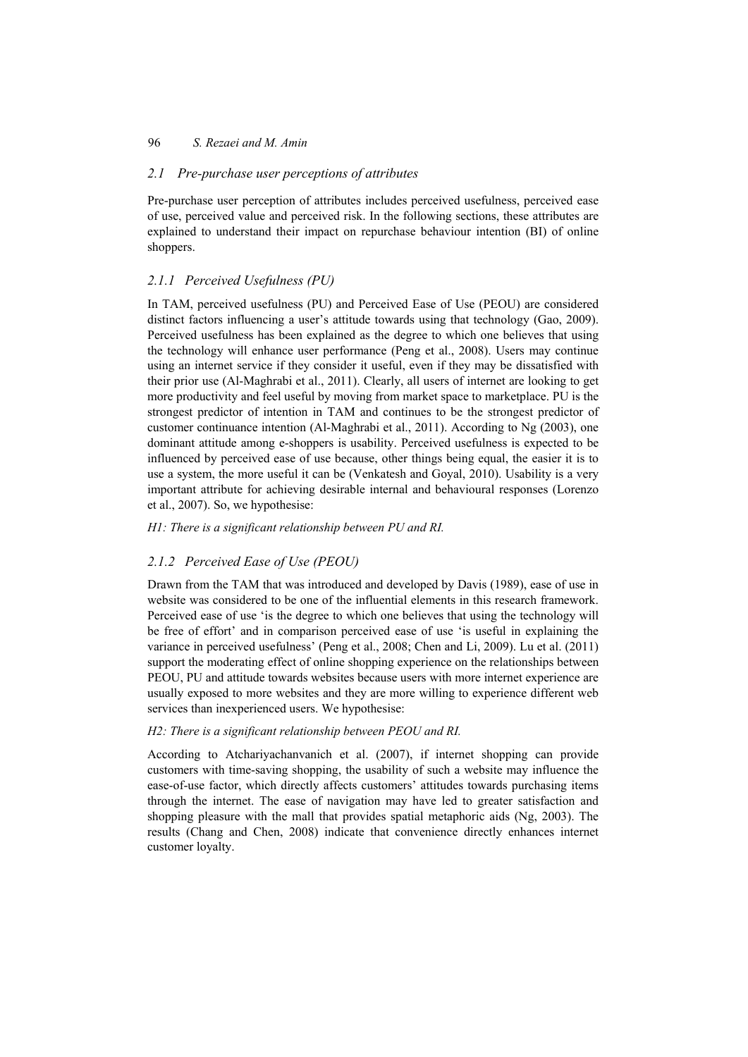# *2.1 Pre-purchase user perceptions of attributes*

Pre-purchase user perception of attributes includes perceived usefulness, perceived ease of use, perceived value and perceived risk. In the following sections, these attributes are explained to understand their impact on repurchase behaviour intention (BI) of online shoppers.

# *2.1.1 Perceived Usefulness (PU)*

In TAM, perceived usefulness (PU) and Perceived Ease of Use (PEOU) are considered distinct factors influencing a user's attitude towards using that technology (Gao, 2009). Perceived usefulness has been explained as the degree to which one believes that using the technology will enhance user performance (Peng et al., 2008). Users may continue using an internet service if they consider it useful, even if they may be dissatisfied with their prior use (Al-Maghrabi et al., 2011). Clearly, all users of internet are looking to get more productivity and feel useful by moving from market space to marketplace. PU is the strongest predictor of intention in TAM and continues to be the strongest predictor of customer continuance intention (Al-Maghrabi et al., 2011). According to Ng (2003), one dominant attitude among e-shoppers is usability. Perceived usefulness is expected to be influenced by perceived ease of use because, other things being equal, the easier it is to use a system, the more useful it can be (Venkatesh and Goyal, 2010). Usability is a very important attribute for achieving desirable internal and behavioural responses (Lorenzo et al., 2007). So, we hypothesise:

*H1: There is a significant relationship between PU and RI.* 

#### *2.1.2 Perceived Ease of Use (PEOU)*

Drawn from the TAM that was introduced and developed by Davis (1989), ease of use in website was considered to be one of the influential elements in this research framework. Perceived ease of use 'is the degree to which one believes that using the technology will be free of effort' and in comparison perceived ease of use 'is useful in explaining the variance in perceived usefulness' (Peng et al., 2008; Chen and Li, 2009). Lu et al. (2011) support the moderating effect of online shopping experience on the relationships between PEOU, PU and attitude towards websites because users with more internet experience are usually exposed to more websites and they are more willing to experience different web services than inexperienced users. We hypothesise:

#### *H2: There is a significant relationship between PEOU and RI.*

According to Atchariyachanvanich et al. (2007), if internet shopping can provide customers with time-saving shopping, the usability of such a website may influence the ease-of-use factor, which directly affects customers' attitudes towards purchasing items through the internet. The ease of navigation may have led to greater satisfaction and shopping pleasure with the mall that provides spatial metaphoric aids (Ng, 2003). The results (Chang and Chen, 2008) indicate that convenience directly enhances internet customer loyalty.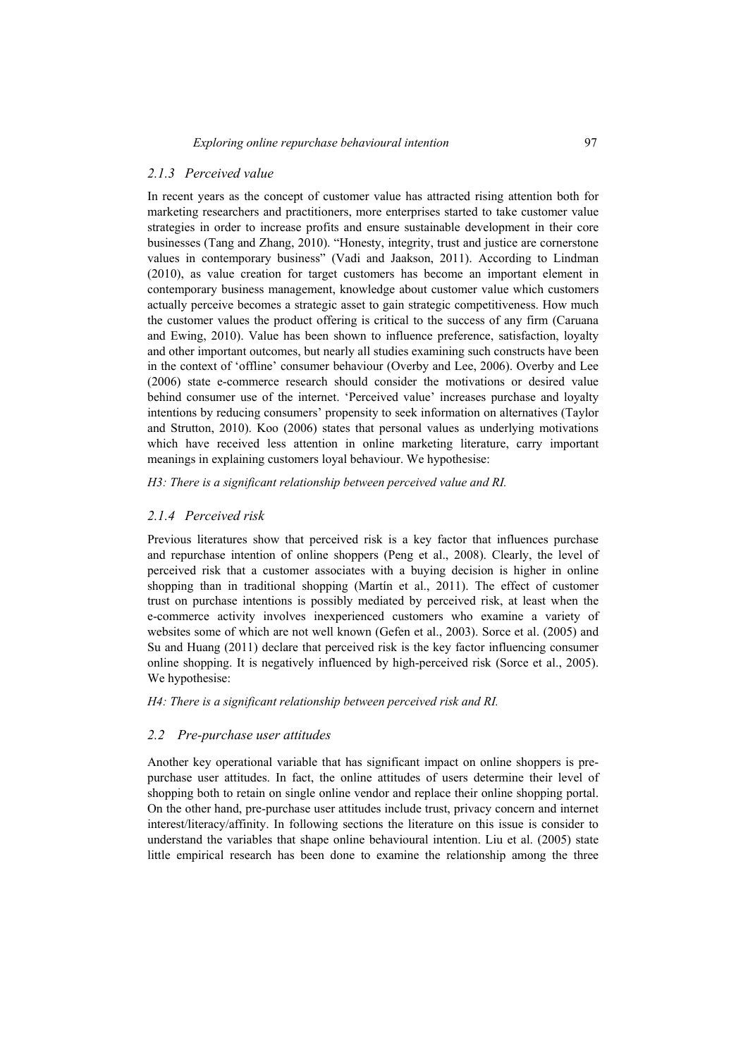#### *2.1.3 Perceived value*

In recent years as the concept of customer value has attracted rising attention both for marketing researchers and practitioners, more enterprises started to take customer value strategies in order to increase profits and ensure sustainable development in their core businesses (Tang and Zhang, 2010). "Honesty, integrity, trust and justice are cornerstone values in contemporary business" (Vadi and Jaakson, 2011). According to Lindman (2010), as value creation for target customers has become an important element in contemporary business management, knowledge about customer value which customers actually perceive becomes a strategic asset to gain strategic competitiveness. How much the customer values the product offering is critical to the success of any firm (Caruana and Ewing, 2010). Value has been shown to influence preference, satisfaction, loyalty and other important outcomes, but nearly all studies examining such constructs have been in the context of 'offline' consumer behaviour (Overby and Lee, 2006). Overby and Lee (2006) state e-commerce research should consider the motivations or desired value behind consumer use of the internet. 'Perceived value' increases purchase and loyalty intentions by reducing consumers' propensity to seek information on alternatives (Taylor and Strutton, 2010). Koo (2006) states that personal values as underlying motivations which have received less attention in online marketing literature, carry important meanings in explaining customers loyal behaviour. We hypothesise:

*H3: There is a significant relationship between perceived value and RI.* 

# *2.1.4 Perceived risk*

Previous literatures show that perceived risk is a key factor that influences purchase and repurchase intention of online shoppers (Peng et al., 2008). Clearly, the level of perceived risk that a customer associates with a buying decision is higher in online shopping than in traditional shopping (Martín et al., 2011). The effect of customer trust on purchase intentions is possibly mediated by perceived risk, at least when the e-commerce activity involves inexperienced customers who examine a variety of websites some of which are not well known (Gefen et al., 2003). Sorce et al. (2005) and Su and Huang (2011) declare that perceived risk is the key factor influencing consumer online shopping. It is negatively influenced by high-perceived risk (Sorce et al., 2005). We hypothesise:

*H4: There is a significant relationship between perceived risk and RI.* 

### *2.2 Pre-purchase user attitudes*

Another key operational variable that has significant impact on online shoppers is prepurchase user attitudes. In fact, the online attitudes of users determine their level of shopping both to retain on single online vendor and replace their online shopping portal. On the other hand, pre-purchase user attitudes include trust, privacy concern and internet interest/literacy/affinity. In following sections the literature on this issue is consider to understand the variables that shape online behavioural intention. Liu et al. (2005) state little empirical research has been done to examine the relationship among the three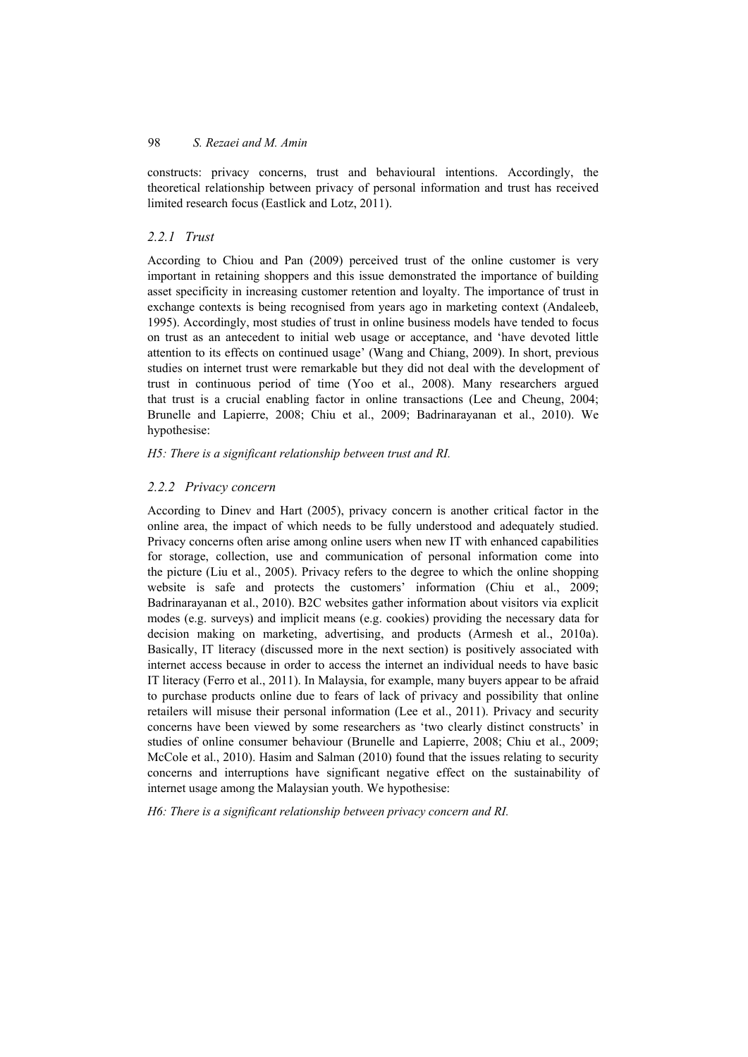constructs: privacy concerns, trust and behavioural intentions. Accordingly, the theoretical relationship between privacy of personal information and trust has received limited research focus (Eastlick and Lotz, 2011).

### *2.2.1 Trust*

According to Chiou and Pan (2009) perceived trust of the online customer is very important in retaining shoppers and this issue demonstrated the importance of building asset specificity in increasing customer retention and loyalty. The importance of trust in exchange contexts is being recognised from years ago in marketing context (Andaleeb, 1995). Accordingly, most studies of trust in online business models have tended to focus on trust as an antecedent to initial web usage or acceptance, and 'have devoted little attention to its effects on continued usage' (Wang and Chiang, 2009). In short, previous studies on internet trust were remarkable but they did not deal with the development of trust in continuous period of time (Yoo et al., 2008). Many researchers argued that trust is a crucial enabling factor in online transactions (Lee and Cheung, 2004; Brunelle and Lapierre, 2008; Chiu et al., 2009; Badrinarayanan et al., 2010). We hypothesise:

*H5: There is a significant relationship between trust and RI.* 

### *2.2.2 Privacy concern*

According to Dinev and Hart (2005), privacy concern is another critical factor in the online area, the impact of which needs to be fully understood and adequately studied. Privacy concerns often arise among online users when new IT with enhanced capabilities for storage, collection, use and communication of personal information come into the picture (Liu et al., 2005). Privacy refers to the degree to which the online shopping website is safe and protects the customers' information (Chiu et al., 2009; Badrinarayanan et al., 2010). B2C websites gather information about visitors via explicit modes (e.g. surveys) and implicit means (e.g. cookies) providing the necessary data for decision making on marketing, advertising, and products (Armesh et al., 2010a). Basically, IT literacy (discussed more in the next section) is positively associated with internet access because in order to access the internet an individual needs to have basic IT literacy (Ferro et al., 2011). In Malaysia, for example, many buyers appear to be afraid to purchase products online due to fears of lack of privacy and possibility that online retailers will misuse their personal information (Lee et al., 2011). Privacy and security concerns have been viewed by some researchers as 'two clearly distinct constructs' in studies of online consumer behaviour (Brunelle and Lapierre, 2008; Chiu et al., 2009; McCole et al., 2010). Hasim and Salman (2010) found that the issues relating to security concerns and interruptions have significant negative effect on the sustainability of internet usage among the Malaysian youth. We hypothesise:

*H6: There is a significant relationship between privacy concern and RI.*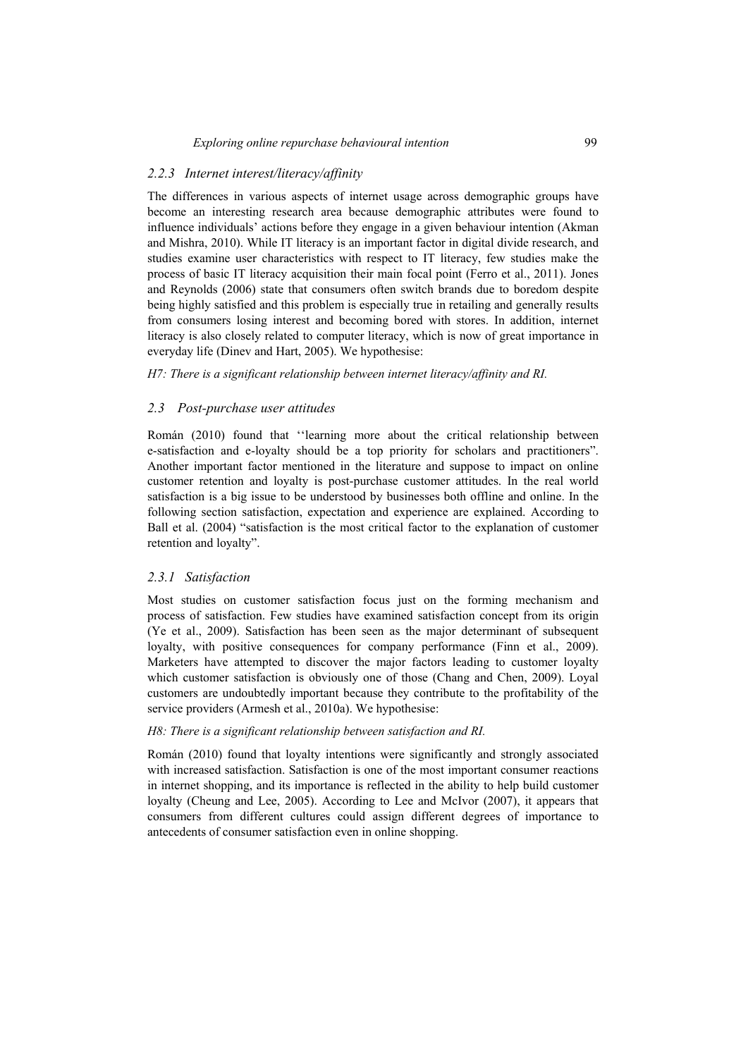# *2.2.3 Internet interest/literacy/affinity*

The differences in various aspects of internet usage across demographic groups have become an interesting research area because demographic attributes were found to influence individuals' actions before they engage in a given behaviour intention (Akman and Mishra, 2010). While IT literacy is an important factor in digital divide research, and studies examine user characteristics with respect to IT literacy, few studies make the process of basic IT literacy acquisition their main focal point (Ferro et al., 2011). Jones and Reynolds (2006) state that consumers often switch brands due to boredom despite being highly satisfied and this problem is especially true in retailing and generally results from consumers losing interest and becoming bored with stores. In addition, internet literacy is also closely related to computer literacy, which is now of great importance in everyday life (Dinev and Hart, 2005). We hypothesise:

#### *H7: There is a significant relationship between internet literacy/affinity and RI.*

# *2.3 Post-purchase user attitudes*

Román (2010) found that ''learning more about the critical relationship between e-satisfaction and e-loyalty should be a top priority for scholars and practitioners". Another important factor mentioned in the literature and suppose to impact on online customer retention and loyalty is post-purchase customer attitudes. In the real world satisfaction is a big issue to be understood by businesses both offline and online. In the following section satisfaction, expectation and experience are explained. According to Ball et al. (2004) "satisfaction is the most critical factor to the explanation of customer retention and loyalty".

#### *2.3.1 Satisfaction*

Most studies on customer satisfaction focus just on the forming mechanism and process of satisfaction. Few studies have examined satisfaction concept from its origin (Ye et al., 2009). Satisfaction has been seen as the major determinant of subsequent loyalty, with positive consequences for company performance (Finn et al., 2009). Marketers have attempted to discover the major factors leading to customer loyalty which customer satisfaction is obviously one of those (Chang and Chen, 2009). Loyal customers are undoubtedly important because they contribute to the profitability of the service providers (Armesh et al., 2010a). We hypothesise:

#### *H8: There is a significant relationship between satisfaction and RI.*

Román (2010) found that loyalty intentions were significantly and strongly associated with increased satisfaction. Satisfaction is one of the most important consumer reactions in internet shopping, and its importance is reflected in the ability to help build customer loyalty (Cheung and Lee, 2005). According to Lee and McIvor (2007), it appears that consumers from different cultures could assign different degrees of importance to antecedents of consumer satisfaction even in online shopping.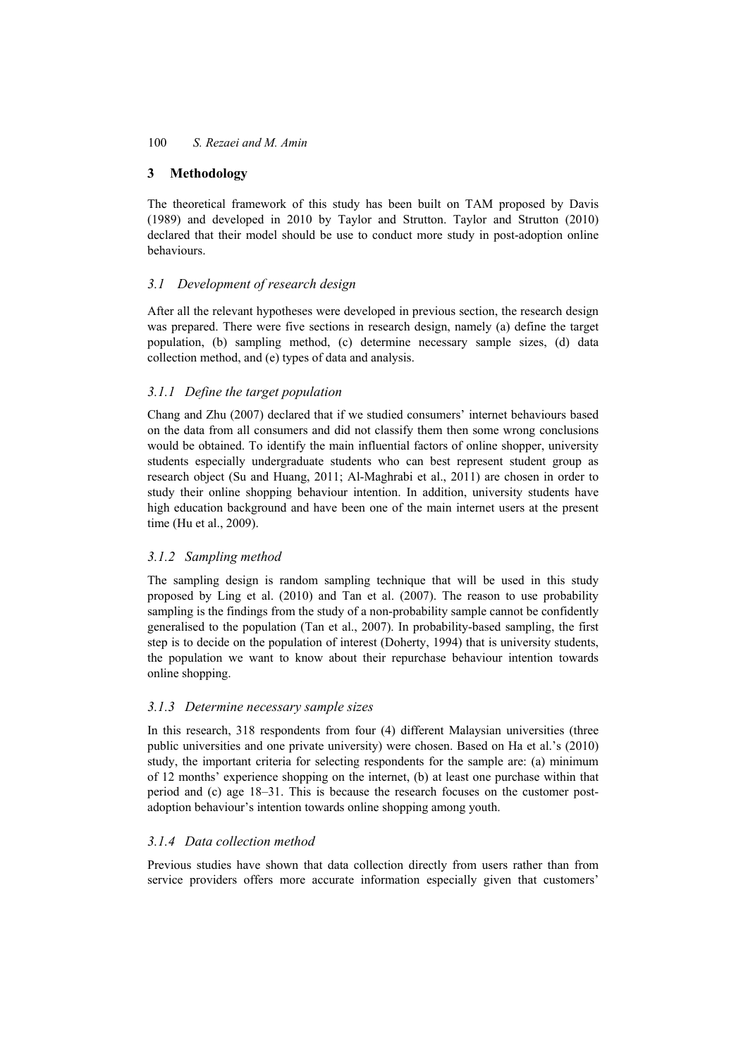# **3 Methodology**

The theoretical framework of this study has been built on TAM proposed by Davis (1989) and developed in 2010 by Taylor and Strutton. Taylor and Strutton (2010) declared that their model should be use to conduct more study in post-adoption online behaviours.

# *3.1 Development of research design*

After all the relevant hypotheses were developed in previous section, the research design was prepared. There were five sections in research design, namely (a) define the target population, (b) sampling method, (c) determine necessary sample sizes, (d) data collection method, and (e) types of data and analysis.

# *3.1.1 Define the target population*

Chang and Zhu (2007) declared that if we studied consumers' internet behaviours based on the data from all consumers and did not classify them then some wrong conclusions would be obtained. To identify the main influential factors of online shopper, university students especially undergraduate students who can best represent student group as research object (Su and Huang, 2011; Al-Maghrabi et al., 2011) are chosen in order to study their online shopping behaviour intention. In addition, university students have high education background and have been one of the main internet users at the present time (Hu et al., 2009).

# *3.1.2 Sampling method*

The sampling design is random sampling technique that will be used in this study proposed by Ling et al. (2010) and Tan et al. (2007). The reason to use probability sampling is the findings from the study of a non-probability sample cannot be confidently generalised to the population (Tan et al., 2007). In probability-based sampling, the first step is to decide on the population of interest (Doherty, 1994) that is university students, the population we want to know about their repurchase behaviour intention towards online shopping.

# *3.1.3 Determine necessary sample sizes*

In this research, 318 respondents from four (4) different Malaysian universities (three public universities and one private university) were chosen. Based on Ha et al.'s (2010) study, the important criteria for selecting respondents for the sample are: (a) minimum of 12 months' experience shopping on the internet, (b) at least one purchase within that period and (c) age 18–31. This is because the research focuses on the customer postadoption behaviour's intention towards online shopping among youth.

#### *3.1.4 Data collection method*

Previous studies have shown that data collection directly from users rather than from service providers offers more accurate information especially given that customers'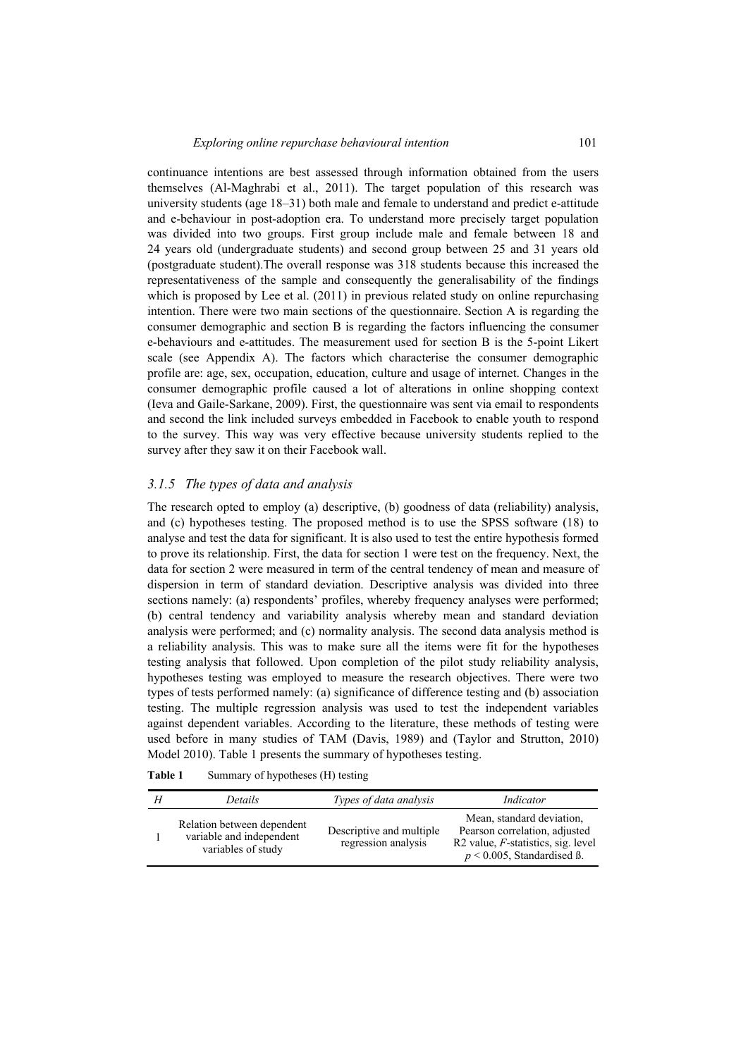continuance intentions are best assessed through information obtained from the users themselves (Al-Maghrabi et al., 2011). The target population of this research was university students (age 18–31) both male and female to understand and predict e-attitude and e-behaviour in post-adoption era. To understand more precisely target population was divided into two groups. First group include male and female between 18 and 24 years old (undergraduate students) and second group between 25 and 31 years old (postgraduate student).The overall response was 318 students because this increased the representativeness of the sample and consequently the generalisability of the findings which is proposed by Lee et al. (2011) in previous related study on online repurchasing intention. There were two main sections of the questionnaire. Section A is regarding the consumer demographic and section B is regarding the factors influencing the consumer e-behaviours and e-attitudes. The measurement used for section B is the 5-point Likert scale (see Appendix A). The factors which characterise the consumer demographic profile are: age, sex, occupation, education, culture and usage of internet. Changes in the consumer demographic profile caused a lot of alterations in online shopping context (Ieva and Gaile-Sarkane, 2009). First, the questionnaire was sent via email to respondents and second the link included surveys embedded in Facebook to enable youth to respond to the survey. This way was very effective because university students replied to the survey after they saw it on their Facebook wall.

# *3.1.5 The types of data and analysis*

The research opted to employ (a) descriptive, (b) goodness of data (reliability) analysis, and (c) hypotheses testing. The proposed method is to use the SPSS software (18) to analyse and test the data for significant. It is also used to test the entire hypothesis formed to prove its relationship. First, the data for section 1 were test on the frequency. Next, the data for section 2 were measured in term of the central tendency of mean and measure of dispersion in term of standard deviation. Descriptive analysis was divided into three sections namely: (a) respondents' profiles, whereby frequency analyses were performed; (b) central tendency and variability analysis whereby mean and standard deviation analysis were performed; and (c) normality analysis. The second data analysis method is a reliability analysis. This was to make sure all the items were fit for the hypotheses testing analysis that followed. Upon completion of the pilot study reliability analysis, hypotheses testing was employed to measure the research objectives. There were two types of tests performed namely: (a) significance of difference testing and (b) association testing. The multiple regression analysis was used to test the independent variables against dependent variables. According to the literature, these methods of testing were used before in many studies of TAM (Davis, 1989) and (Taylor and Strutton, 2010) Model 2010). Table 1 presents the summary of hypotheses testing.

**Table 1** Summary of hypotheses (H) testing

| <i>Details</i>                                                               | Types of data analysis                          | Indicator                                                                                                                                 |
|------------------------------------------------------------------------------|-------------------------------------------------|-------------------------------------------------------------------------------------------------------------------------------------------|
| Relation between dependent<br>variable and independent<br>variables of study | Descriptive and multiple<br>regression analysis | Mean, standard deviation,<br>Pearson correlation, adjusted<br>R2 value, <i>F</i> -statistics, sig. level<br>$p < 0.005$ , Standardised B. |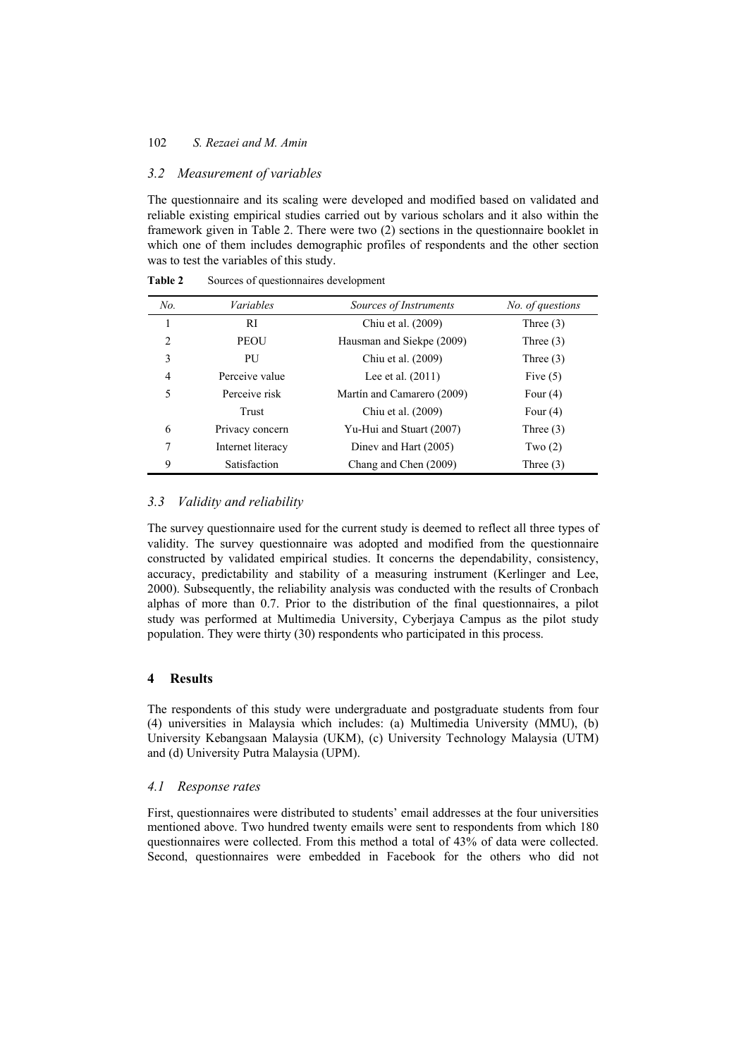#### *3.2 Measurement of variables*

The questionnaire and its scaling were developed and modified based on validated and reliable existing empirical studies carried out by various scholars and it also within the framework given in Table 2. There were two (2) sections in the questionnaire booklet in which one of them includes demographic profiles of respondents and the other section was to test the variables of this study.

| No.            | <i>Variables</i>  | Sources of Instruments     | No. of questions |
|----------------|-------------------|----------------------------|------------------|
|                | RI.               | Chiu et al. (2009)         | Three $(3)$      |
| $\overline{2}$ | <b>PEOU</b>       | Hausman and Siekpe (2009)  | Three $(3)$      |
| 3              | PU                | Chiu et al. (2009)         | Three $(3)$      |
| 4              | Perceive value    | Lee et al. $(2011)$        | Five $(5)$       |
| 5              | Perceive risk     | Martín and Camarero (2009) | Four $(4)$       |
|                | Trust             | Chiu et al. (2009)         | Four $(4)$       |
| 6              | Privacy concern   | Yu-Hui and Stuart (2007)   | Three $(3)$      |
| 7              | Internet literacy | Diney and Hart (2005)      | Two $(2)$        |
| 9              | Satisfaction      | Chang and Chen (2009)      | Three $(3)$      |

Table 2 Sources of questionnaires development

### *3.3 Validity and reliability*

The survey questionnaire used for the current study is deemed to reflect all three types of validity. The survey questionnaire was adopted and modified from the questionnaire constructed by validated empirical studies. It concerns the dependability, consistency, accuracy, predictability and stability of a measuring instrument (Kerlinger and Lee, 2000). Subsequently, the reliability analysis was conducted with the results of Cronbach alphas of more than 0.7. Prior to the distribution of the final questionnaires, a pilot study was performed at Multimedia University, Cyberjaya Campus as the pilot study population. They were thirty (30) respondents who participated in this process.

# **4 Results**

The respondents of this study were undergraduate and postgraduate students from four (4) universities in Malaysia which includes: (a) Multimedia University (MMU), (b) University Kebangsaan Malaysia (UKM), (c) University Technology Malaysia (UTM) and (d) University Putra Malaysia (UPM).

### *4.1 Response rates*

First, questionnaires were distributed to students' email addresses at the four universities mentioned above. Two hundred twenty emails were sent to respondents from which 180 questionnaires were collected. From this method a total of 43% of data were collected. Second, questionnaires were embedded in Facebook for the others who did not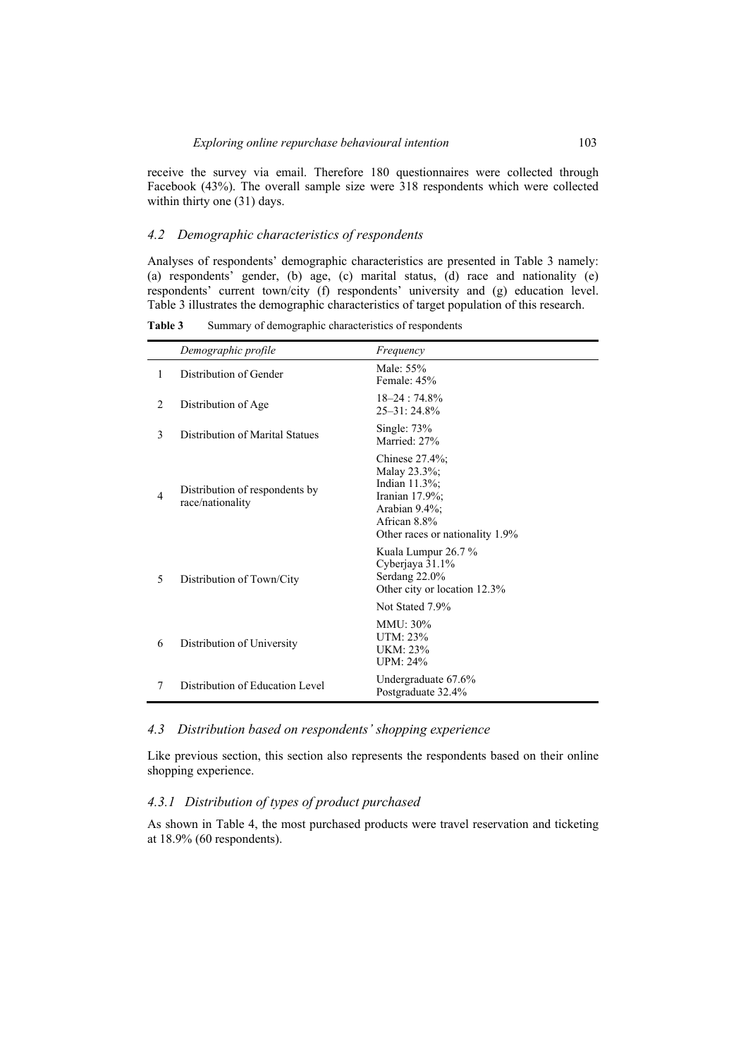receive the survey via email. Therefore 180 questionnaires were collected through Facebook (43%). The overall sample size were 318 respondents which were collected within thirty one (31) days.

# *4.2 Demographic characteristics of respondents*

Analyses of respondents' demographic characteristics are presented in Table 3 namely: (a) respondents' gender, (b) age, (c) marital status, (d) race and nationality (e) respondents' current town/city (f) respondents' university and (g) education level. Table 3 illustrates the demographic characteristics of target population of this research.

Table 3 Summary of demographic characteristics of respondents

|   | Demographic profile                                | Frequency                                                                                                                             |
|---|----------------------------------------------------|---------------------------------------------------------------------------------------------------------------------------------------|
| 1 | Distribution of Gender                             | Male: 55%<br>Female: 45%                                                                                                              |
| 2 | Distribution of Age                                | $18 - 24 : 74.8\%$<br>$25 - 31 : 24.8\%$                                                                                              |
| 3 | Distribution of Marital Statues                    | Single: $73%$<br>Married: 27%                                                                                                         |
| 4 | Distribution of respondents by<br>race/nationality | Chinese 27.4%;<br>Malay 23.3%;<br>Indian 11.3%;<br>Iranian 17.9%;<br>Arabian 9.4%;<br>African 8.8%<br>Other races or nationality 1.9% |
| 5 | Distribution of Town/City                          | Kuala Lumpur 26.7 %<br>Cyberjaya 31.1%<br>Serdang 22.0%<br>Other city or location 12.3%<br>Not Stated 7.9%                            |
| 6 | Distribution of University                         | MMU: 30%<br>UTM: $23%$<br><b>UKM</b> : 23%<br>UPM: $24\%$                                                                             |
| 7 | Distribution of Education Level                    | Undergraduate 67.6%<br>Postgraduate 32.4%                                                                                             |

### *4.3 Distribution based on respondents' shopping experience*

Like previous section, this section also represents the respondents based on their online shopping experience.

# *4.3.1 Distribution of types of product purchased*

As shown in Table 4, the most purchased products were travel reservation and ticketing at 18.9% (60 respondents).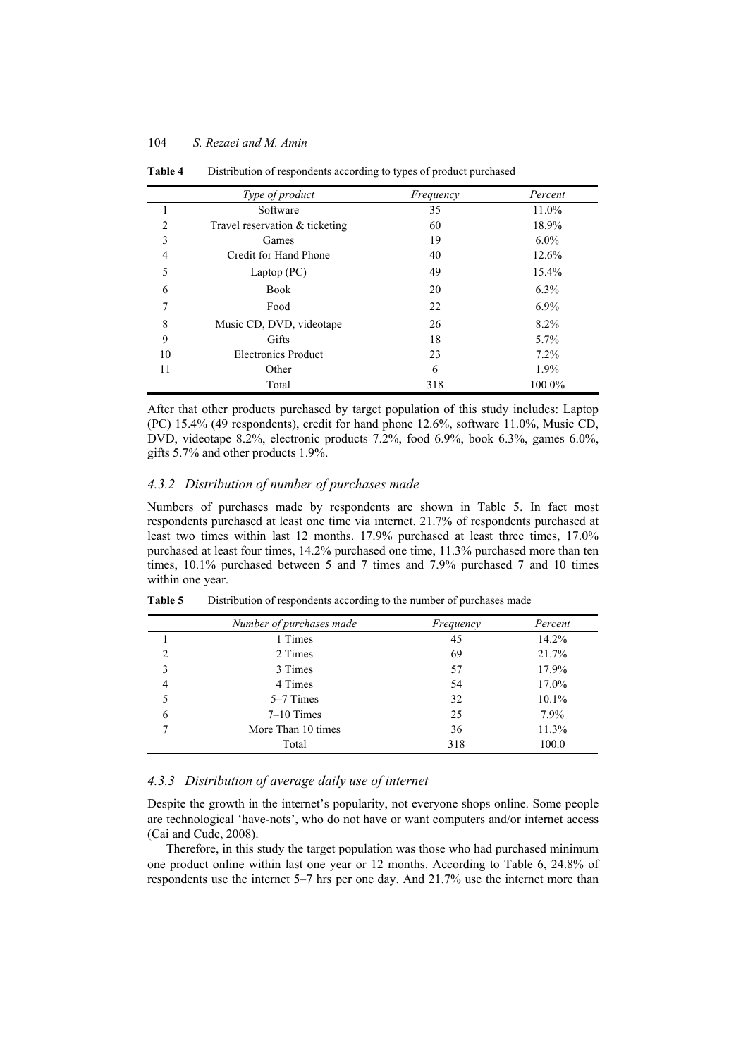|                | Type of product                  | Frequency | Percent |
|----------------|----------------------------------|-----------|---------|
|                | Software                         | 35        | 11.0%   |
| $\mathfrak{D}$ | Travel reservation $&$ ticketing | 60        | 18.9%   |
| 3              | Games                            | 19        | $6.0\%$ |
| 4              | Credit for Hand Phone            | 40        | 12.6%   |
| 5              | Laptop (PC)                      | 49        | 15.4%   |
| 6              | <b>Book</b>                      | 20        | $6.3\%$ |
| 7              | Food                             | 22        | $6.9\%$ |
| 8              | Music CD, DVD, videotape         | 26        | 8.2%    |
| 9              | Gifts                            | 18        | 5.7%    |
| 10             | Electronics Product              | 23        | 7.2%    |
| 11             | Other                            | 6         | 1.9%    |
|                | Total                            | 318       | 100.0%  |

**Table 4** Distribution of respondents according to types of product purchased

After that other products purchased by target population of this study includes: Laptop (PC) 15.4% (49 respondents), credit for hand phone 12.6%, software 11.0%, Music CD, DVD, videotape 8.2%, electronic products 7.2%, food 6.9%, book 6.3%, games 6.0%, gifts 5.7% and other products 1.9%.

## *4.3.2 Distribution of number of purchases made*

Numbers of purchases made by respondents are shown in Table 5. In fact most respondents purchased at least one time via internet. 21.7% of respondents purchased at least two times within last 12 months. 17.9% purchased at least three times, 17.0% purchased at least four times, 14.2% purchased one time, 11.3% purchased more than ten times, 10.1% purchased between 5 and 7 times and 7.9% purchased 7 and 10 times within one year.

|                | Number of purchases made | Frequency | Percent  |
|----------------|--------------------------|-----------|----------|
|                | 1 Times                  | 45        | 14.2%    |
| $\overline{2}$ | 2 Times                  | 69        | 21.7%    |
| 3              | 3 Times                  | 57        | 17.9%    |
| $\overline{4}$ | 4 Times                  | 54        | 17.0%    |
| 5              | 5–7 Times                | 32        | $10.1\%$ |
| 6              | $7-10$ Times             | 25        | $7.9\%$  |
|                | More Than 10 times       | 36        | 11.3%    |
|                | Total                    | 318       | 100.0    |

**Table 5** Distribution of respondents according to the number of purchases made

# *4.3.3 Distribution of average daily use of internet*

Despite the growth in the internet's popularity, not everyone shops online. Some people are technological 'have-nots', who do not have or want computers and/or internet access (Cai and Cude, 2008).

Therefore, in this study the target population was those who had purchased minimum one product online within last one year or 12 months. According to Table 6, 24.8% of respondents use the internet 5–7 hrs per one day. And 21.7% use the internet more than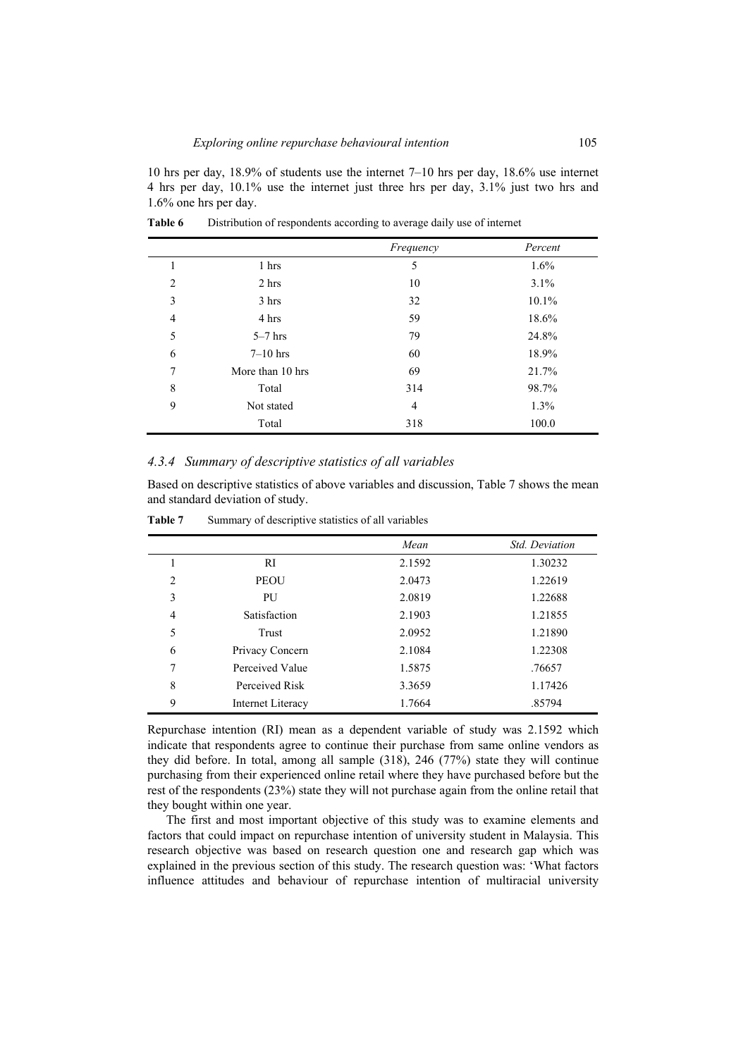10 hrs per day, 18.9% of students use the internet 7–10 hrs per day, 18.6% use internet 4 hrs per day, 10.1% use the internet just three hrs per day, 3.1% just two hrs and 1.6% one hrs per day.

|                |                  | Frequency | Percent |
|----------------|------------------|-----------|---------|
| 1              | 1 hrs            | 5         | 1.6%    |
| $\overline{2}$ | 2 hrs            | 10        | 3.1%    |
| 3              | 3 hrs            | 32        | 10.1%   |
| 4              | 4 hrs            | 59        | 18.6%   |
| 5              | $5-7$ hrs        | 79        | 24.8%   |
| 6              | $7-10$ hrs       | 60        | 18.9%   |
| 7              | More than 10 hrs | 69        | 21.7%   |
| 8              | Total            | 314       | 98.7%   |
| 9              | Not stated       | 4         | 1.3%    |
|                | Total            | 318       | 100.0   |

**Table 6** Distribution of respondents according to average daily use of internet

# *4.3.4 Summary of descriptive statistics of all variables*

Based on descriptive statistics of above variables and discussion, Table 7 shows the mean and standard deviation of study.

|                |                   | Mean   | <b>Std.</b> Deviation |
|----------------|-------------------|--------|-----------------------|
|                | RI                | 2.1592 | 1.30232               |
| 2              | <b>PEOU</b>       | 2.0473 | 1.22619               |
| 3              | PU                | 2.0819 | 1.22688               |
| $\overline{4}$ | Satisfaction      | 2.1903 | 1.21855               |
| 5              | Trust             | 2.0952 | 1.21890               |
| 6              | Privacy Concern   | 2.1084 | 1.22308               |
| 7              | Perceived Value   | 1.5875 | .76657                |
| 8              | Perceived Risk    | 3.3659 | 1.17426               |
| 9              | Internet Literacy | 1.7664 | .85794                |

Table 7 Summary of descriptive statistics of all variables

Repurchase intention (RI) mean as a dependent variable of study was 2.1592 which indicate that respondents agree to continue their purchase from same online vendors as they did before. In total, among all sample (318), 246 (77%) state they will continue purchasing from their experienced online retail where they have purchased before but the rest of the respondents (23%) state they will not purchase again from the online retail that they bought within one year.

The first and most important objective of this study was to examine elements and factors that could impact on repurchase intention of university student in Malaysia. This research objective was based on research question one and research gap which was explained in the previous section of this study. The research question was: 'What factors influence attitudes and behaviour of repurchase intention of multiracial university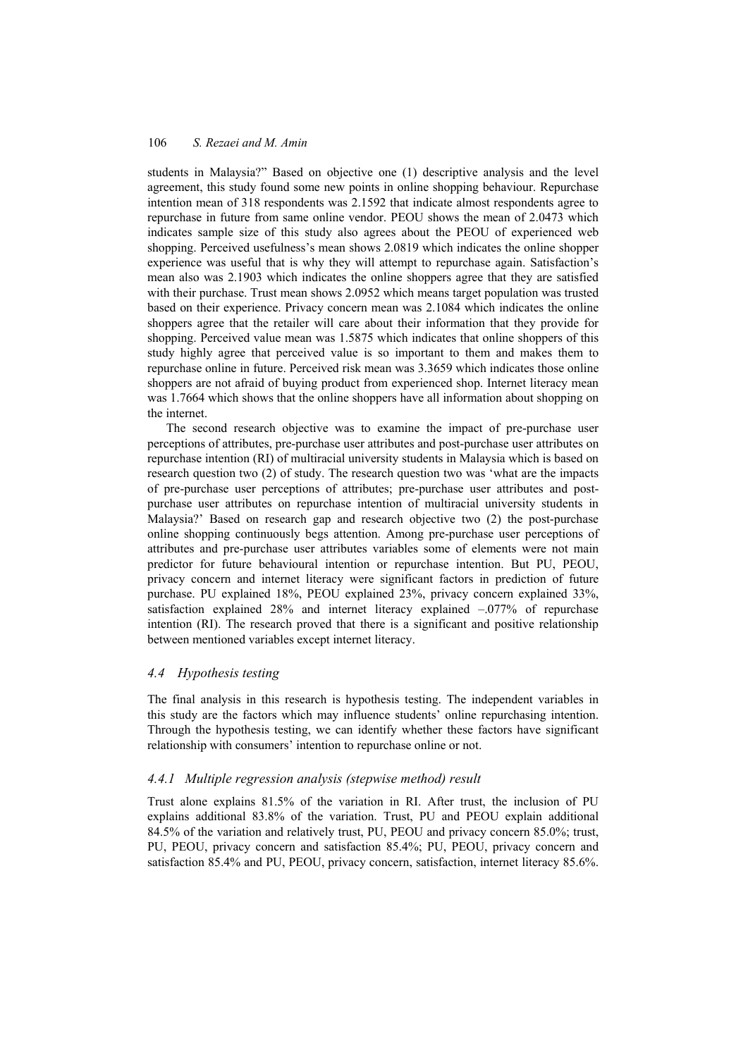students in Malaysia?" Based on objective one (1) descriptive analysis and the level agreement, this study found some new points in online shopping behaviour. Repurchase intention mean of 318 respondents was 2.1592 that indicate almost respondents agree to repurchase in future from same online vendor. PEOU shows the mean of 2.0473 which indicates sample size of this study also agrees about the PEOU of experienced web shopping. Perceived usefulness's mean shows 2.0819 which indicates the online shopper experience was useful that is why they will attempt to repurchase again. Satisfaction's mean also was 2.1903 which indicates the online shoppers agree that they are satisfied with their purchase. Trust mean shows 2.0952 which means target population was trusted based on their experience. Privacy concern mean was 2.1084 which indicates the online shoppers agree that the retailer will care about their information that they provide for shopping. Perceived value mean was 1.5875 which indicates that online shoppers of this study highly agree that perceived value is so important to them and makes them to repurchase online in future. Perceived risk mean was 3.3659 which indicates those online shoppers are not afraid of buying product from experienced shop. Internet literacy mean was 1.7664 which shows that the online shoppers have all information about shopping on the internet.

The second research objective was to examine the impact of pre-purchase user perceptions of attributes, pre-purchase user attributes and post-purchase user attributes on repurchase intention (RI) of multiracial university students in Malaysia which is based on research question two (2) of study. The research question two was 'what are the impacts of pre-purchase user perceptions of attributes; pre-purchase user attributes and postpurchase user attributes on repurchase intention of multiracial university students in Malaysia?' Based on research gap and research objective two (2) the post-purchase online shopping continuously begs attention. Among pre-purchase user perceptions of attributes and pre-purchase user attributes variables some of elements were not main predictor for future behavioural intention or repurchase intention. But PU, PEOU, privacy concern and internet literacy were significant factors in prediction of future purchase. PU explained 18%, PEOU explained 23%, privacy concern explained 33%, satisfaction explained 28% and internet literacy explained –.077% of repurchase intention (RI). The research proved that there is a significant and positive relationship between mentioned variables except internet literacy.

# *4.4 Hypothesis testing*

The final analysis in this research is hypothesis testing. The independent variables in this study are the factors which may influence students' online repurchasing intention. Through the hypothesis testing, we can identify whether these factors have significant relationship with consumers' intention to repurchase online or not.

# *4.4.1 Multiple regression analysis (stepwise method) result*

Trust alone explains 81.5% of the variation in RI. After trust, the inclusion of PU explains additional 83.8% of the variation. Trust, PU and PEOU explain additional 84.5% of the variation and relatively trust, PU, PEOU and privacy concern 85.0%; trust, PU, PEOU, privacy concern and satisfaction 85.4%; PU, PEOU, privacy concern and satisfaction 85.4% and PU, PEOU, privacy concern, satisfaction, internet literacy 85.6%.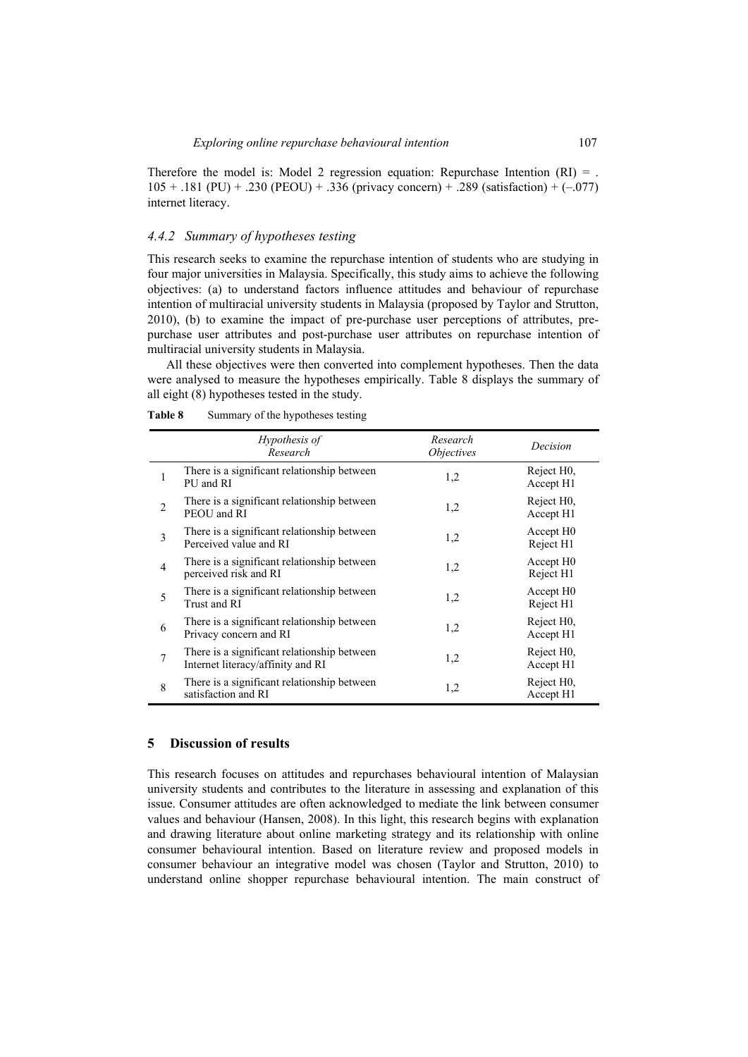Therefore the model is: Model 2 regression equation: Repurchase Intention  $(RI) =$ .  $105 + .181$  (PU) + .230 (PEOU) + .336 (privacy concern) + .289 (satisfaction) + (-.077) internet literacy.

### *4.4.2 Summary of hypotheses testing*

This research seeks to examine the repurchase intention of students who are studying in four major universities in Malaysia. Specifically, this study aims to achieve the following objectives: (a) to understand factors influence attitudes and behaviour of repurchase intention of multiracial university students in Malaysia (proposed by Taylor and Strutton, 2010), (b) to examine the impact of pre-purchase user perceptions of attributes, prepurchase user attributes and post-purchase user attributes on repurchase intention of multiracial university students in Malaysia.

All these objectives were then converted into complement hypotheses. Then the data were analysed to measure the hypotheses empirically. Table 8 displays the summary of all eight (8) hypotheses tested in the study.

**Table 8** Summary of the hypotheses testing

|                | Hypothesis of<br>Research                                                        | Research<br><i><b>Objectives</b></i> | Decision                             |
|----------------|----------------------------------------------------------------------------------|--------------------------------------|--------------------------------------|
| 1              | There is a significant relationship between<br>PU and RI                         | 1,2                                  | Reject H <sub>0</sub> ,<br>Accept H1 |
| $\overline{2}$ | There is a significant relationship between<br>PEOU and RI                       | 1,2                                  | Reject H <sub>0</sub> ,<br>Accept H1 |
| 3              | There is a significant relationship between<br>Perceived value and RI            | 1,2                                  | Accept H <sub>0</sub><br>Reject H1   |
| $\overline{4}$ | There is a significant relationship between<br>perceived risk and RI             | 1,2                                  | Accept H <sub>0</sub><br>Reject H1   |
| 5              | There is a significant relationship between<br>Trust and RI                      | 1,2                                  | Accept H <sub>0</sub><br>Reject H1   |
| 6              | There is a significant relationship between<br>Privacy concern and RI            | 1,2                                  | Reject H <sub>0</sub> ,<br>Accept H1 |
| 7              | There is a significant relationship between<br>Internet literacy/affinity and RI | 1,2                                  | Reject H <sub>0</sub> ,<br>Accept H1 |
| 8              | There is a significant relationship between<br>satisfaction and RI               | 1,2                                  | Reject H <sub>0</sub> ,<br>Accept H1 |

#### **5 Discussion of results**

This research focuses on attitudes and repurchases behavioural intention of Malaysian university students and contributes to the literature in assessing and explanation of this issue. Consumer attitudes are often acknowledged to mediate the link between consumer values and behaviour (Hansen, 2008). In this light, this research begins with explanation and drawing literature about online marketing strategy and its relationship with online consumer behavioural intention. Based on literature review and proposed models in consumer behaviour an integrative model was chosen (Taylor and Strutton, 2010) to understand online shopper repurchase behavioural intention. The main construct of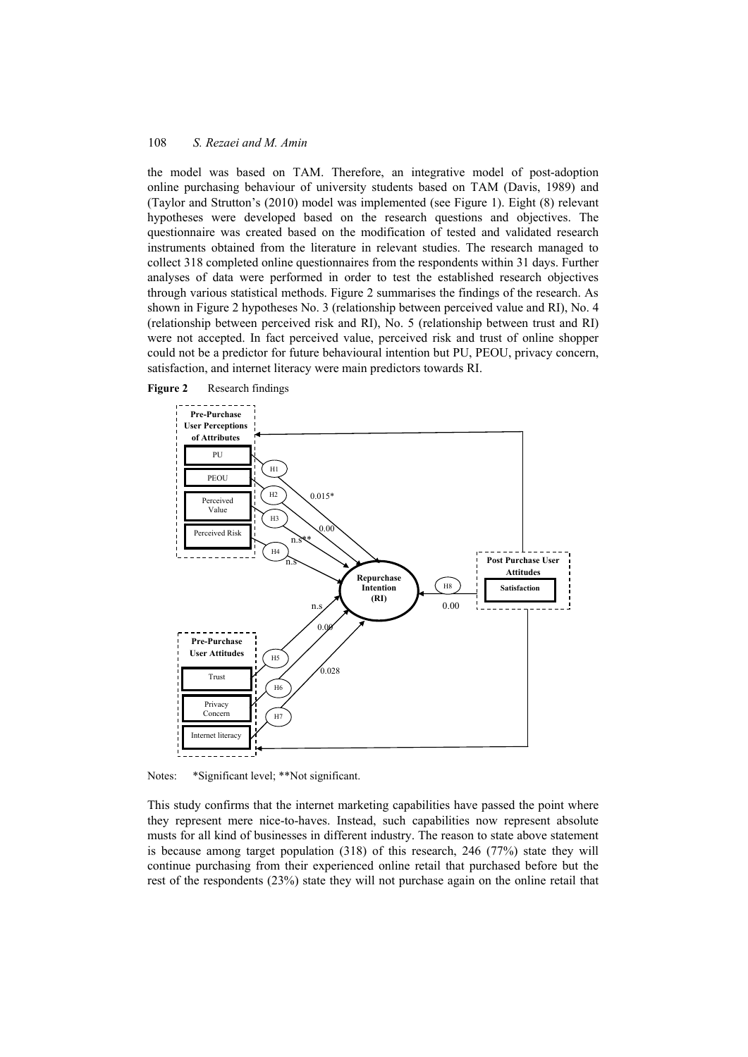the model was based on TAM. Therefore, an integrative model of post-adoption online purchasing behaviour of university students based on TAM (Davis, 1989) and (Taylor and Strutton's (2010) model was implemented (see Figure 1). Eight (8) relevant hypotheses were developed based on the research questions and objectives. The questionnaire was created based on the modification of tested and validated research instruments obtained from the literature in relevant studies. The research managed to collect 318 completed online questionnaires from the respondents within 31 days. Further analyses of data were performed in order to test the established research objectives through various statistical methods. Figure 2 summarises the findings of the research. As shown in Figure 2 hypotheses No. 3 (relationship between perceived value and RI), No. 4 (relationship between perceived risk and RI), No. 5 (relationship between trust and RI) were not accepted. In fact perceived value, perceived risk and trust of online shopper could not be a predictor for future behavioural intention but PU, PEOU, privacy concern, satisfaction, and internet literacy were main predictors towards RI.





Notes: \*Significant level; \*\*Not significant.

This study confirms that the internet marketing capabilities have passed the point where they represent mere nice-to-haves. Instead, such capabilities now represent absolute musts for all kind of businesses in different industry. The reason to state above statement is because among target population (318) of this research, 246 (77%) state they will continue purchasing from their experienced online retail that purchased before but the rest of the respondents (23%) state they will not purchase again on the online retail that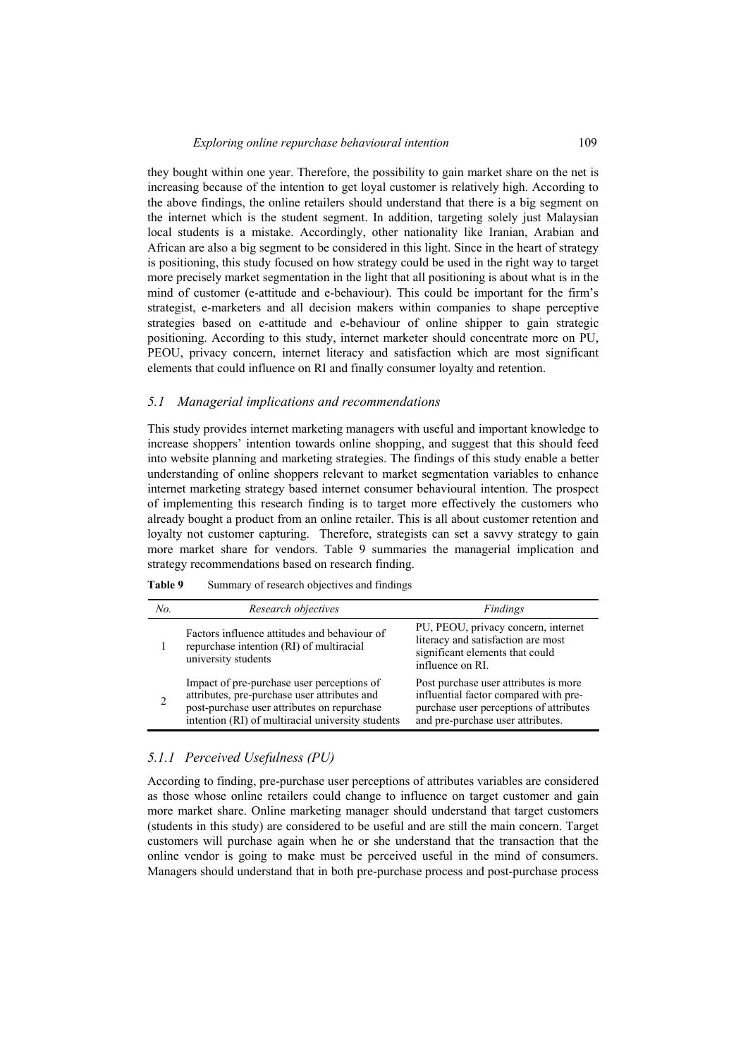they bought within one year. Therefore, the possibility to gain market share on the net is increasing because of the intention to get loyal customer is relatively high. According to the above findings, the online retailers should understand that there is a big segment on the internet which is the student segment. In addition, targeting solely just Malaysian local students is a mistake. Accordingly, other nationality like Iranian, Arabian and African are also a big segment to be considered in this light. Since in the heart of strategy is positioning, this study focused on how strategy could be used in the right way to target more precisely market segmentation in the light that all positioning is about what is in the mind of customer (e-attitude and e-behaviour). This could be important for the firm's strategist, e-marketers and all decision makers within companies to shape perceptive strategies based on e-attitude and e-behaviour of online shipper to gain strategic positioning. According to this study, internet marketer should concentrate more on PU, PEOU, privacy concern, internet literacy and satisfaction which are most significant elements that could influence on RI and finally consumer loyalty and retention.

#### *5.1 Managerial implications and recommendations*

This study provides internet marketing managers with useful and important knowledge to increase shoppers' intention towards online shopping, and suggest that this should feed into website planning and marketing strategies. The findings of this study enable a better understanding of online shoppers relevant to market segmentation variables to enhance internet marketing strategy based internet consumer behavioural intention. The prospect of implementing this research finding is to target more effectively the customers who already bought a product from an online retailer. This is all about customer retention and loyalty not customer capturing. Therefore, strategists can set a savvy strategy to gain more market share for vendors. Table 9 summaries the managerial implication and strategy recommendations based on research finding.

Table 9 Summary of research objectives and findings

| No. | Research objectives                                                                                                                                                                            | Findings                                                                                                                                                       |
|-----|------------------------------------------------------------------------------------------------------------------------------------------------------------------------------------------------|----------------------------------------------------------------------------------------------------------------------------------------------------------------|
|     | Factors influence attitudes and behaviour of<br>repurchase intention (RI) of multiracial<br>university students                                                                                | PU, PEOU, privacy concern, internet<br>literacy and satisfaction are most<br>significant elements that could<br>influence on RI.                               |
|     | Impact of pre-purchase user perceptions of<br>attributes, pre-purchase user attributes and<br>post-purchase user attributes on repurchase<br>intention (RI) of multiracial university students | Post purchase user attributes is more<br>influential factor compared with pre-<br>purchase user perceptions of attributes<br>and pre-purchase user attributes. |

### *5.1.1 Perceived Usefulness (PU)*

According to finding, pre-purchase user perceptions of attributes variables are considered as those whose online retailers could change to influence on target customer and gain more market share. Online marketing manager should understand that target customers (students in this study) are considered to be useful and are still the main concern. Target customers will purchase again when he or she understand that the transaction that the online vendor is going to make must be perceived useful in the mind of consumers. Managers should understand that in both pre-purchase process and post-purchase process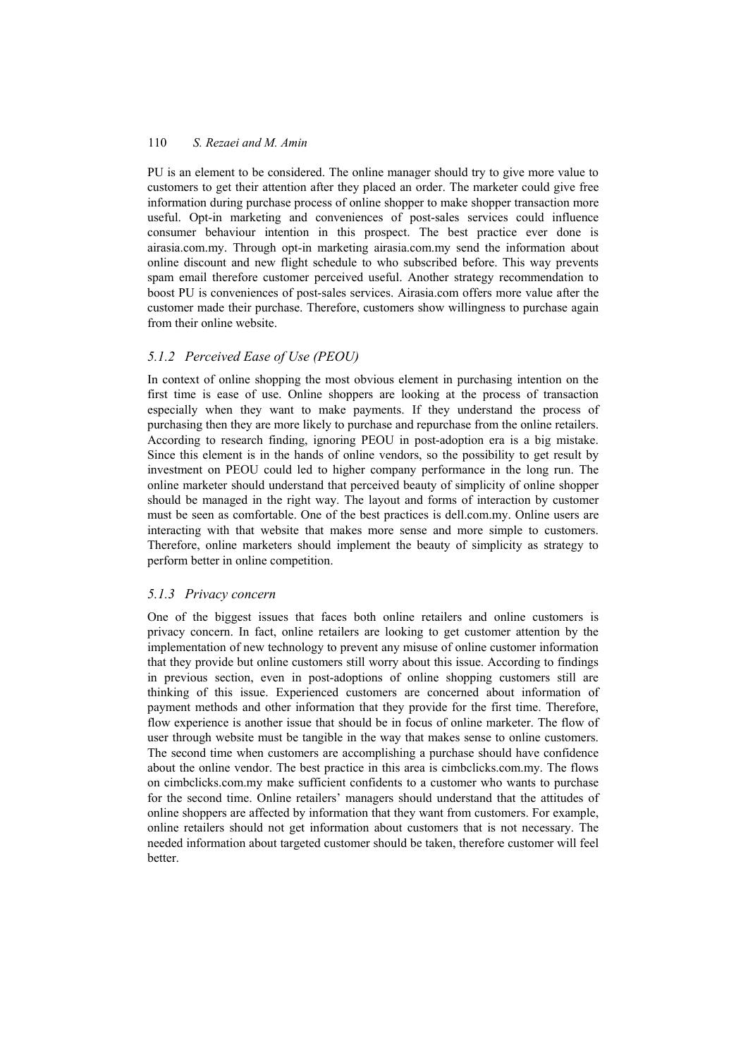PU is an element to be considered. The online manager should try to give more value to customers to get their attention after they placed an order. The marketer could give free information during purchase process of online shopper to make shopper transaction more useful. Opt-in marketing and conveniences of post-sales services could influence consumer behaviour intention in this prospect. The best practice ever done is airasia.com.my. Through opt-in marketing airasia.com.my send the information about online discount and new flight schedule to who subscribed before. This way prevents spam email therefore customer perceived useful. Another strategy recommendation to boost PU is conveniences of post-sales services. Airasia.com offers more value after the customer made their purchase. Therefore, customers show willingness to purchase again from their online website.

# *5.1.2 Perceived Ease of Use (PEOU)*

In context of online shopping the most obvious element in purchasing intention on the first time is ease of use. Online shoppers are looking at the process of transaction especially when they want to make payments. If they understand the process of purchasing then they are more likely to purchase and repurchase from the online retailers. According to research finding, ignoring PEOU in post-adoption era is a big mistake. Since this element is in the hands of online vendors, so the possibility to get result by investment on PEOU could led to higher company performance in the long run. The online marketer should understand that perceived beauty of simplicity of online shopper should be managed in the right way. The layout and forms of interaction by customer must be seen as comfortable. One of the best practices is dell.com.my. Online users are interacting with that website that makes more sense and more simple to customers. Therefore, online marketers should implement the beauty of simplicity as strategy to perform better in online competition.

# *5.1.3 Privacy concern*

One of the biggest issues that faces both online retailers and online customers is privacy concern. In fact, online retailers are looking to get customer attention by the implementation of new technology to prevent any misuse of online customer information that they provide but online customers still worry about this issue. According to findings in previous section, even in post-adoptions of online shopping customers still are thinking of this issue. Experienced customers are concerned about information of payment methods and other information that they provide for the first time. Therefore, flow experience is another issue that should be in focus of online marketer. The flow of user through website must be tangible in the way that makes sense to online customers. The second time when customers are accomplishing a purchase should have confidence about the online vendor. The best practice in this area is cimbclicks.com.my. The flows on cimbclicks.com.my make sufficient confidents to a customer who wants to purchase for the second time. Online retailers' managers should understand that the attitudes of online shoppers are affected by information that they want from customers. For example, online retailers should not get information about customers that is not necessary. The needed information about targeted customer should be taken, therefore customer will feel better.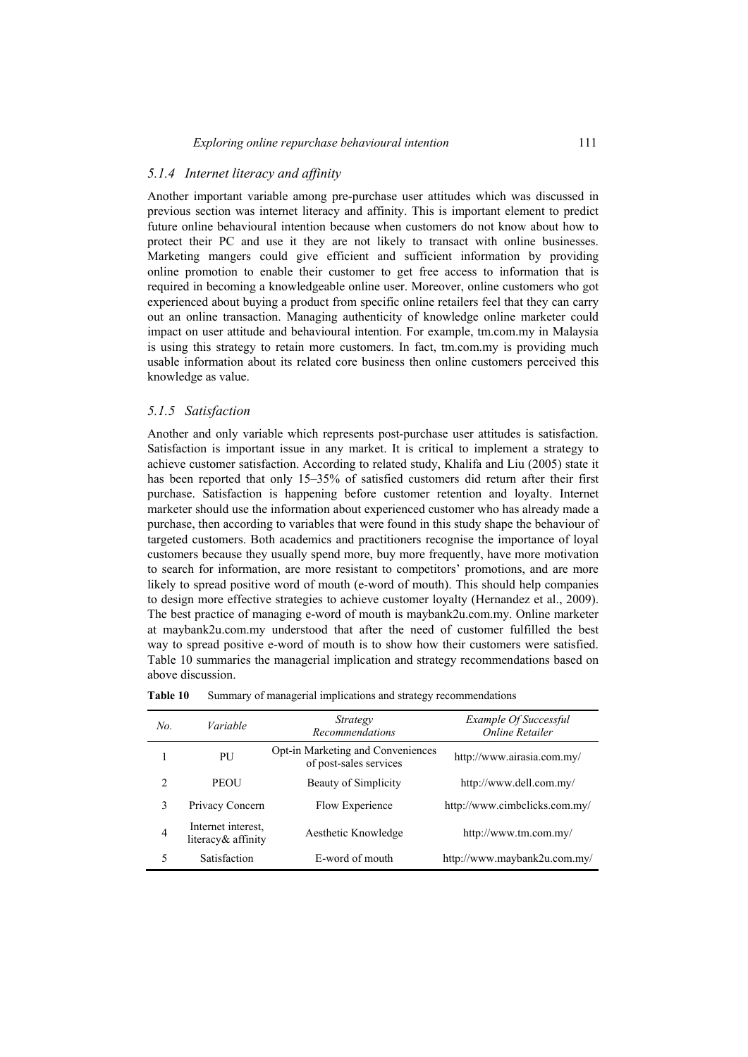### *5.1.4 Internet literacy and affinity*

Another important variable among pre-purchase user attitudes which was discussed in previous section was internet literacy and affinity. This is important element to predict future online behavioural intention because when customers do not know about how to protect their PC and use it they are not likely to transact with online businesses. Marketing mangers could give efficient and sufficient information by providing online promotion to enable their customer to get free access to information that is required in becoming a knowledgeable online user. Moreover, online customers who got experienced about buying a product from specific online retailers feel that they can carry out an online transaction. Managing authenticity of knowledge online marketer could impact on user attitude and behavioural intention. For example, tm.com.my in Malaysia is using this strategy to retain more customers. In fact, tm.com.my is providing much usable information about its related core business then online customers perceived this knowledge as value.

### *5.1.5 Satisfaction*

Another and only variable which represents post-purchase user attitudes is satisfaction. Satisfaction is important issue in any market. It is critical to implement a strategy to achieve customer satisfaction. According to related study, Khalifa and Liu (2005) state it has been reported that only 15–35% of satisfied customers did return after their first purchase. Satisfaction is happening before customer retention and loyalty. Internet marketer should use the information about experienced customer who has already made a purchase, then according to variables that were found in this study shape the behaviour of targeted customers. Both academics and practitioners recognise the importance of loyal customers because they usually spend more, buy more frequently, have more motivation to search for information, are more resistant to competitors' promotions, and are more likely to spread positive word of mouth (e-word of mouth). This should help companies to design more effective strategies to achieve customer loyalty (Hernandez et al., 2009). The best practice of managing e-word of mouth is maybank2u.com.my. Online marketer at maybank2u.com.my understood that after the need of customer fulfilled the best way to spread positive e-word of mouth is to show how their customers were satisfied. Table 10 summaries the managerial implication and strategy recommendations based on above discussion.

| No.            | Variable                                 | Strategy<br><b>Recommendations</b>                          | Example Of Successful<br><b>Online Retailer</b> |
|----------------|------------------------------------------|-------------------------------------------------------------|-------------------------------------------------|
|                | PU                                       | Opt-in Marketing and Conveniences<br>of post-sales services | http://www.airasia.com.my/                      |
| 2              | <b>PEOU</b>                              | Beauty of Simplicity                                        | http://www.dell.com.my/                         |
| 3              | Privacy Concern                          | Flow Experience                                             | http://www.cimbclicks.com.my/                   |
| $\overline{4}$ | Internet interest.<br>literacy& affinity | Aesthetic Knowledge                                         | http://www.tm.com.my/                           |
| 5              | Satisfaction                             | E-word of mouth                                             | http://www.maybank2u.com.my/                    |

**Table 10** Summary of managerial implications and strategy recommendations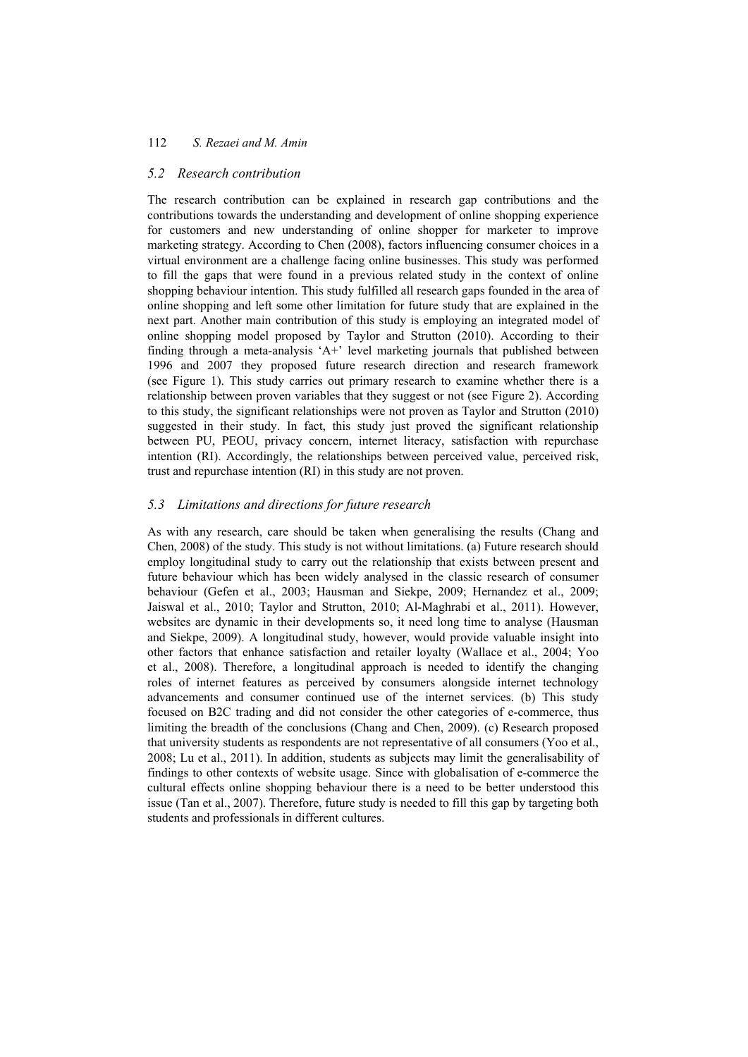### *5.2 Research contribution*

The research contribution can be explained in research gap contributions and the contributions towards the understanding and development of online shopping experience for customers and new understanding of online shopper for marketer to improve marketing strategy. According to Chen (2008), factors influencing consumer choices in a virtual environment are a challenge facing online businesses. This study was performed to fill the gaps that were found in a previous related study in the context of online shopping behaviour intention. This study fulfilled all research gaps founded in the area of online shopping and left some other limitation for future study that are explained in the next part. Another main contribution of this study is employing an integrated model of online shopping model proposed by Taylor and Strutton (2010). According to their finding through a meta-analysis 'A+' level marketing journals that published between 1996 and 2007 they proposed future research direction and research framework (see Figure 1). This study carries out primary research to examine whether there is a relationship between proven variables that they suggest or not (see Figure 2). According to this study, the significant relationships were not proven as Taylor and Strutton (2010) suggested in their study. In fact, this study just proved the significant relationship between PU, PEOU, privacy concern, internet literacy, satisfaction with repurchase intention (RI). Accordingly, the relationships between perceived value, perceived risk, trust and repurchase intention (RI) in this study are not proven.

### *5.3 Limitations and directions for future research*

As with any research, care should be taken when generalising the results (Chang and Chen, 2008) of the study. This study is not without limitations. (a) Future research should employ longitudinal study to carry out the relationship that exists between present and future behaviour which has been widely analysed in the classic research of consumer behaviour (Gefen et al., 2003; Hausman and Siekpe, 2009; Hernandez et al., 2009; Jaiswal et al., 2010; Taylor and Strutton, 2010; Al-Maghrabi et al., 2011). However, websites are dynamic in their developments so, it need long time to analyse (Hausman and Siekpe, 2009). A longitudinal study, however, would provide valuable insight into other factors that enhance satisfaction and retailer loyalty (Wallace et al., 2004; Yoo et al., 2008). Therefore, a longitudinal approach is needed to identify the changing roles of internet features as perceived by consumers alongside internet technology advancements and consumer continued use of the internet services. (b) This study focused on B2C trading and did not consider the other categories of e-commerce, thus limiting the breadth of the conclusions (Chang and Chen, 2009). (c) Research proposed that university students as respondents are not representative of all consumers (Yoo et al., 2008; Lu et al., 2011). In addition, students as subjects may limit the generalisability of findings to other contexts of website usage. Since with globalisation of e-commerce the cultural effects online shopping behaviour there is a need to be better understood this issue (Tan et al., 2007). Therefore, future study is needed to fill this gap by targeting both students and professionals in different cultures.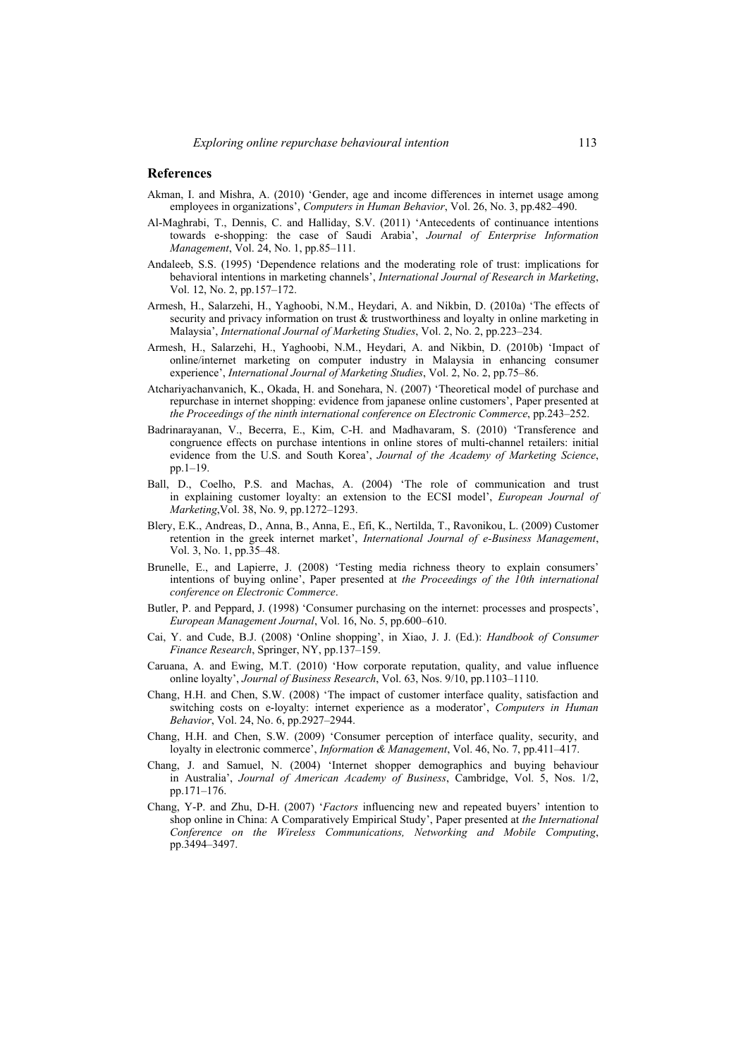#### **References**

- Akman, I. and Mishra, A. (2010) 'Gender, age and income differences in internet usage among employees in organizations', *Computers in Human Behavior*, Vol. 26, No. 3, pp.482–490.
- Al-Maghrabi, T., Dennis, C. and Halliday, S.V. (2011) 'Antecedents of continuance intentions towards e-shopping: the case of Saudi Arabia', *Journal of Enterprise Information Management*, Vol. 24, No. 1, pp.85–111.
- Andaleeb, S.S. (1995) 'Dependence relations and the moderating role of trust: implications for behavioral intentions in marketing channels', *International Journal of Research in Marketing*, Vol. 12, No. 2, pp.157–172.
- Armesh, H., Salarzehi, H., Yaghoobi, N.M., Heydari, A. and Nikbin, D. (2010a) 'The effects of security and privacy information on trust  $\&$  trustworthiness and loyalty in online marketing in Malaysia', *International Journal of Marketing Studies*, Vol. 2, No. 2, pp.223–234.
- Armesh, H., Salarzehi, H., Yaghoobi, N.M., Heydari, A. and Nikbin, D. (2010b) 'Impact of online/internet marketing on computer industry in Malaysia in enhancing consumer experience', *International Journal of Marketing Studies*, Vol. 2, No. 2, pp.75–86.
- Atchariyachanvanich, K., Okada, H. and Sonehara, N. (2007) 'Theoretical model of purchase and repurchase in internet shopping: evidence from japanese online customers', Paper presented at *the Proceedings of the ninth international conference on Electronic Commerce*, pp.243–252.
- Badrinarayanan, V., Becerra, E., Kim, C-H. and Madhavaram, S. (2010) 'Transference and congruence effects on purchase intentions in online stores of multi-channel retailers: initial evidence from the U.S. and South Korea', *Journal of the Academy of Marketing Science*, pp.1–19.
- Ball, D., Coelho, P.S. and Machas, A. (2004) 'The role of communication and trust in explaining customer loyalty: an extension to the ECSI model', *European Journal of Marketing*,Vol. 38, No. 9, pp.1272–1293.
- Blery, E.K., Andreas, D., Anna, B., Anna, E., Efi, K., Nertilda, T., Ravonikou, L. (2009) Customer retention in the greek internet market', *International Journal of e-Business Management*, Vol. 3, No. 1, pp.35–48.
- Brunelle, E., and Lapierre, J. (2008) 'Testing media richness theory to explain consumers' intentions of buying online', Paper presented at *the Proceedings of the 10th international conference on Electronic Commerce*.
- Butler, P. and Peppard, J. (1998) 'Consumer purchasing on the internet: processes and prospects', *European Management Journal*, Vol. 16, No. 5, pp.600–610.
- Cai, Y. and Cude, B.J. (2008) 'Online shopping', in Xiao, J. J. (Ed.): *Handbook of Consumer Finance Research*, Springer, NY, pp.137–159.
- Caruana, A. and Ewing, M.T. (2010) 'How corporate reputation, quality, and value influence online loyalty', *Journal of Business Research*, Vol. 63, Nos. 9/10, pp.1103–1110.
- Chang, H.H. and Chen, S.W. (2008) 'The impact of customer interface quality, satisfaction and switching costs on e-loyalty: internet experience as a moderator', *Computers in Human Behavior*, Vol. 24, No. 6, pp.2927–2944.
- Chang, H.H. and Chen, S.W. (2009) 'Consumer perception of interface quality, security, and loyalty in electronic commerce', *Information & Management*, Vol. 46, No. 7, pp.411–417.
- Chang, J. and Samuel, N. (2004) 'Internet shopper demographics and buying behaviour in Australia', *Journal of American Academy of Business*, Cambridge, Vol. 5, Nos. 1/2, pp.171–176.
- Chang, Y-P. and Zhu, D-H. (2007) '*Factors* influencing new and repeated buyers' intention to shop online in China: A Comparatively Empirical Study', Paper presented at *the International Conference on the Wireless Communications, Networking and Mobile Computing*, pp.3494–3497.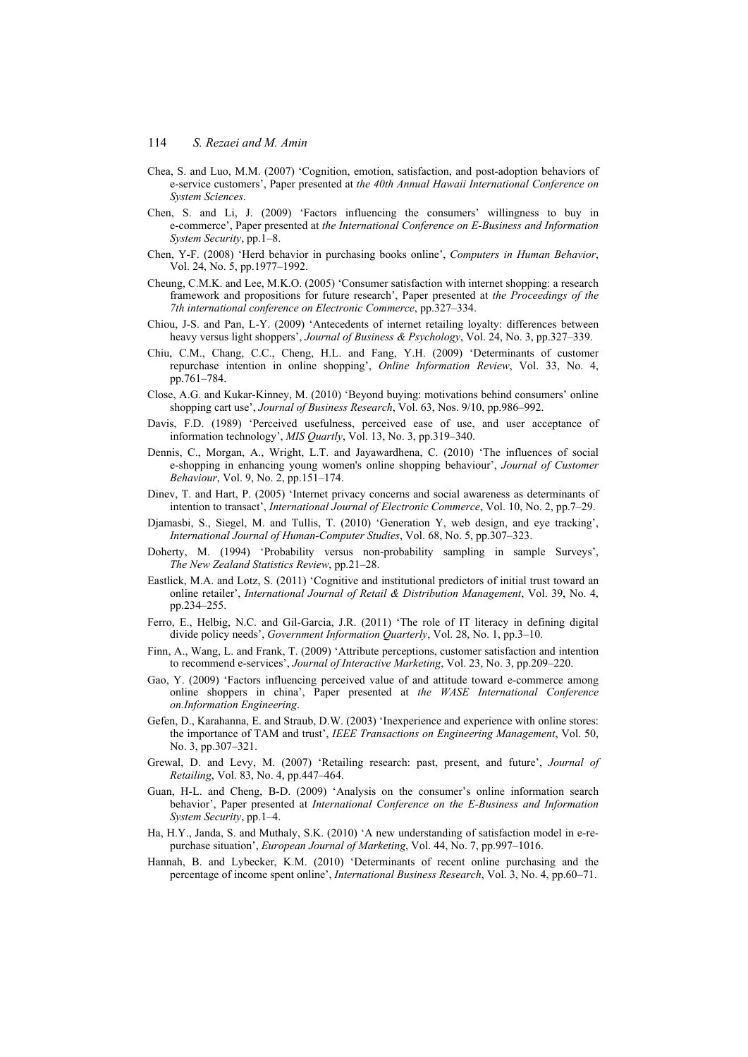- Chea, S. and Luo, M.M. (2007) 'Cognition, emotion, satisfaction, and post-adoption behaviors of e-service customers', Paper presented at *the 40th Annual Hawaii International Conference on System Sciences*.
- Chen, S. and Li, J. (2009) 'Factors influencing the consumers' willingness to buy in e-commerce', Paper presented at *the International Conference on E-Business and Information System Security*, pp.1–8.
- Chen, Y-F. (2008) 'Herd behavior in purchasing books online', *Computers in Human Behavior*, Vol. 24, No. 5, pp.1977–1992.
- Cheung, C.M.K. and Lee, M.K.O. (2005) 'Consumer satisfaction with internet shopping: a research framework and propositions for future research', Paper presented at *the Proceedings of the 7th international conference on Electronic Commerce*, pp.327–334.
- Chiou, J-S. and Pan, L-Y. (2009) 'Antecedents of internet retailing loyalty: differences between heavy versus light shoppers', *Journal of Business & Psychology*, Vol. 24, No. 3, pp.327–339.
- Chiu, C.M., Chang, C.C., Cheng, H.L. and Fang, Y.H. (2009) 'Determinants of customer repurchase intention in online shopping', *Online Information Review*, Vol. 33, No. 4, pp.761–784.
- Close, A.G. and Kukar-Kinney, M. (2010) 'Beyond buying: motivations behind consumers' online shopping cart use', *Journal of Business Research*, Vol. 63, Nos. 9/10, pp.986–992.
- Davis, F.D. (1989) 'Perceived usefulness, perceived ease of use, and user acceptance of information technology', *MIS Quartly*, Vol. 13, No. 3, pp.319–340.
- Dennis, C., Morgan, A., Wright, L.T. and Jayawardhena, C. (2010) 'The influences of social e-shopping in enhancing young women's online shopping behaviour', *Journal of Customer Behaviour*, Vol. 9, No. 2, pp.151–174.
- Dinev, T. and Hart, P. (2005) 'Internet privacy concerns and social awareness as determinants of intention to transact', *International Journal of Electronic Commerce*, Vol. 10, No. 2, pp.7–29.
- Djamasbi, S., Siegel, M. and Tullis, T. (2010) 'Generation Y, web design, and eye tracking', *International Journal of Human-Computer Studies*, Vol. 68, No. 5, pp.307–323.
- Doherty, M. (1994) 'Probability versus non-probability sampling in sample Surveys', *The New Zealand Statistics Review*, pp.21–28.
- Eastlick, M.A. and Lotz, S. (2011) 'Cognitive and institutional predictors of initial trust toward an online retailer', *International Journal of Retail & Distribution Management*, Vol. 39, No. 4, pp.234–255.
- Ferro, E., Helbig, N.C. and Gil-Garcia, J.R. (2011) 'The role of IT literacy in defining digital divide policy needs', *Government Information Quarterly*, Vol. 28, No. 1, pp.3–10.
- Finn, A., Wang, L. and Frank, T. (2009) 'Attribute perceptions, customer satisfaction and intention to recommend e-services', *Journal of Interactive Marketing*, Vol. 23, No. 3, pp.209–220.
- Gao, Y. (2009) 'Factors influencing perceived value of and attitude toward e-commerce among online shoppers in china', Paper presented at *the WASE International Conference on.Information Engineering*.
- Gefen, D., Karahanna, E. and Straub, D.W. (2003) 'Inexperience and experience with online stores: the importance of TAM and trust', *IEEE Transactions on Engineering Management*, Vol. 50, No. 3, pp.307–321.
- Grewal, D. and Levy, M. (2007) 'Retailing research: past, present, and future', *Journal of Retailing*, Vol. 83, No. 4, pp.447–464.
- Guan, H-L. and Cheng, B-D. (2009) 'Analysis on the consumer's online information search behavior', Paper presented at *International Conference on the E-Business and Information System Security*, pp.1–4.
- Ha, H.Y., Janda, S. and Muthaly, S.K. (2010) 'A new understanding of satisfaction model in e-repurchase situation', *European Journal of Marketing*, Vol. 44, No. 7, pp.997–1016.
- Hannah, B. and Lybecker, K.M. (2010) 'Determinants of recent online purchasing and the percentage of income spent online', *International Business Research*, Vol. 3, No. 4, pp.60–71.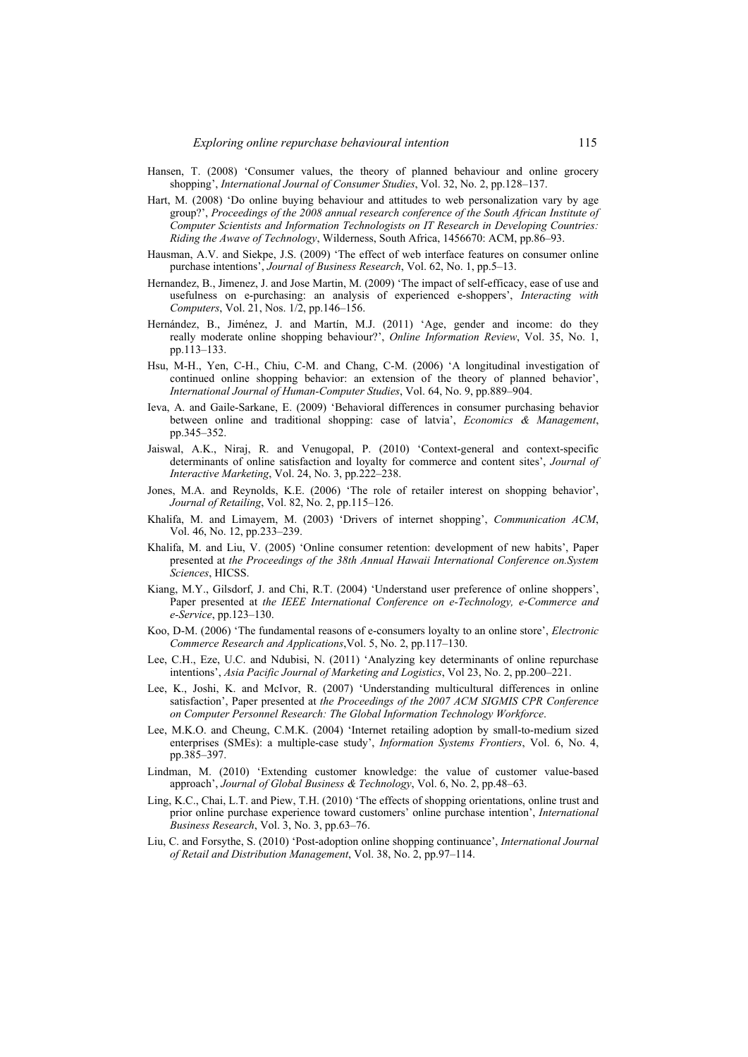- Hansen, T. (2008) 'Consumer values, the theory of planned behaviour and online grocery shopping', *International Journal of Consumer Studies*, Vol. 32, No. 2, pp.128–137.
- Hart, M. (2008) 'Do online buying behaviour and attitudes to web personalization vary by age group?', *Proceedings of the 2008 annual research conference of the South African Institute of Computer Scientists and Information Technologists on IT Research in Developing Countries: Riding the Awave of Technology*, Wilderness, South Africa, 1456670: ACM, pp.86–93.
- Hausman, A.V. and Siekpe, J.S. (2009) 'The effect of web interface features on consumer online purchase intentions', *Journal of Business Research*, Vol. 62, No. 1, pp.5–13.
- Hernandez, B., Jimenez, J. and Jose Martin, M. (2009) 'The impact of self-efficacy, ease of use and usefulness on e-purchasing: an analysis of experienced e-shoppers', *Interacting with Computers*, Vol. 21, Nos. 1/2, pp.146–156.
- Hernández, B., Jiménez, J. and Martín, M.J. (2011) 'Age, gender and income: do they really moderate online shopping behaviour?', *Online Information Review*, Vol. 35, No. 1, pp.113–133.
- Hsu, M-H., Yen, C-H., Chiu, C-M. and Chang, C-M. (2006) 'A longitudinal investigation of continued online shopping behavior: an extension of the theory of planned behavior', *International Journal of Human-Computer Studies*, Vol. 64, No. 9, pp.889–904.
- Ieva, A. and Gaile-Sarkane, E. (2009) 'Behavioral differences in consumer purchasing behavior between online and traditional shopping: case of latvia', *Economics & Management*, pp.345–352.
- Jaiswal, A.K., Niraj, R. and Venugopal, P. (2010) 'Context-general and context-specific determinants of online satisfaction and loyalty for commerce and content sites', *Journal of Interactive Marketing*, Vol. 24, No. 3, pp.222–238.
- Jones, M.A. and Reynolds, K.E. (2006) 'The role of retailer interest on shopping behavior', *Journal of Retailing*, Vol. 82, No. 2, pp.115–126.
- Khalifa, M. and Limayem, M. (2003) 'Drivers of internet shopping', *Communication ACM*, Vol. 46, No. 12, pp.233–239.
- Khalifa, M. and Liu, V. (2005) 'Online consumer retention: development of new habits', Paper presented at *the Proceedings of the 38th Annual Hawaii International Conference on.System Sciences*, HICSS.
- Kiang, M.Y., Gilsdorf, J. and Chi, R.T. (2004) 'Understand user preference of online shoppers', Paper presented at *the IEEE International Conference on e-Technology, e-Commerce and e-Service*, pp.123–130.
- Koo, D-M. (2006) 'The fundamental reasons of e-consumers loyalty to an online store', *Electronic Commerce Research and Applications*,Vol. 5, No. 2, pp.117–130.
- Lee, C.H., Eze, U.C. and Ndubisi, N. (2011) 'Analyzing key determinants of online repurchase intentions', *Asia Pacific Journal of Marketing and Logistics*, Vol 23, No. 2, pp.200–221.
- Lee, K., Joshi, K. and McIvor, R. (2007) 'Understanding multicultural differences in online satisfaction', Paper presented at *the Proceedings of the 2007 ACM SIGMIS CPR Conference on Computer Personnel Research: The Global Information Technology Workforce*.
- Lee, M.K.O. and Cheung, C.M.K. (2004) 'Internet retailing adoption by small-to-medium sized enterprises (SMEs): a multiple-case study', *Information Systems Frontiers*, Vol. 6, No. 4, pp.385–397.
- Lindman, M. (2010) 'Extending customer knowledge: the value of customer value-based approach', *Journal of Global Business & Technology*, Vol. 6, No. 2, pp.48–63.
- Ling, K.C., Chai, L.T. and Piew, T.H. (2010) 'The effects of shopping orientations, online trust and prior online purchase experience toward customers' online purchase intention', *International Business Research*, Vol. 3, No. 3, pp.63–76.
- Liu, C. and Forsythe, S. (2010) 'Post-adoption online shopping continuance', *International Journal of Retail and Distribution Management*, Vol. 38, No. 2, pp.97–114.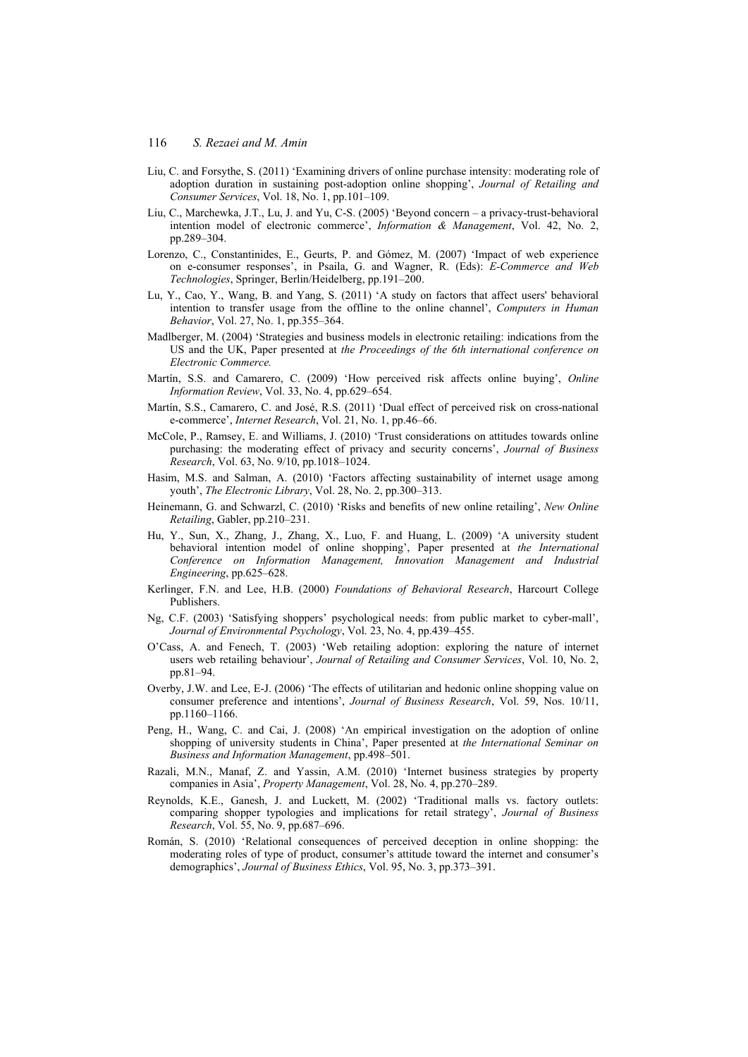- Liu, C. and Forsythe, S. (2011) 'Examining drivers of online purchase intensity: moderating role of adoption duration in sustaining post-adoption online shopping', *Journal of Retailing and Consumer Services*, Vol. 18, No. 1, pp.101–109.
- Liu, C., Marchewka, J.T., Lu, J. and Yu, C-S. (2005) 'Beyond concern a privacy-trust-behavioral intention model of electronic commerce', *Information & Management*, Vol. 42, No. 2, pp.289–304.
- Lorenzo, C., Constantinides, E., Geurts, P. and Gómez, M. (2007) 'Impact of web experience on e-consumer responses', in Psaila, G. and Wagner, R. (Eds): *E-Commerce and Web Technologies*, Springer, Berlin/Heidelberg, pp.191–200.
- Lu, Y., Cao, Y., Wang, B. and Yang, S. (2011) 'A study on factors that affect users' behavioral intention to transfer usage from the offline to the online channel', *Computers in Human Behavior*, Vol. 27, No. 1, pp.355–364.
- Madlberger, M. (2004) 'Strategies and business models in electronic retailing: indications from the US and the UK, Paper presented at *the Proceedings of the 6th international conference on Electronic Commerce.*
- Martín, S.S. and Camarero, C. (2009) 'How perceived risk affects online buying', *Online Information Review*, Vol. 33, No. 4, pp.629–654.
- Martín, S.S., Camarero, C. and José, R.S. (2011) 'Dual effect of perceived risk on cross-national e-commerce', *Internet Research*, Vol. 21, No. 1, pp.46–66.
- McCole, P., Ramsey, E. and Williams, J. (2010) 'Trust considerations on attitudes towards online purchasing: the moderating effect of privacy and security concerns', *Journal of Business Research*, Vol. 63, No. 9/10, pp.1018–1024.
- Hasim, M.S. and Salman, A. (2010) 'Factors affecting sustainability of internet usage among youth', *The Electronic Library*, Vol. 28, No. 2, pp.300–313.
- Heinemann, G. and Schwarzl, C. (2010) 'Risks and benefits of new online retailing', *New Online Retailing*, Gabler, pp.210–231.
- Hu, Y., Sun, X., Zhang, J., Zhang, X., Luo, F. and Huang, L. (2009) 'A university student behavioral intention model of online shopping', Paper presented at *the International Conference on Information Management, Innovation Management and Industrial Engineering*, pp.625–628.
- Kerlinger, F.N. and Lee, H.B. (2000) *Foundations of Behavioral Research*, Harcourt College Publishers.
- Ng, C.F. (2003) 'Satisfying shoppers' psychological needs: from public market to cyber-mall', *Journal of Environmental Psychology*, Vol. 23, No. 4, pp.439–455.
- O'Cass, A. and Fenech, T. (2003) 'Web retailing adoption: exploring the nature of internet users web retailing behaviour', *Journal of Retailing and Consumer Services*, Vol. 10, No. 2, pp.81–94.
- Overby, J.W. and Lee, E-J. (2006) 'The effects of utilitarian and hedonic online shopping value on consumer preference and intentions', *Journal of Business Research*, Vol. 59, Nos. 10/11, pp.1160–1166.
- Peng, H., Wang, C. and Cai, J. (2008) 'An empirical investigation on the adoption of online shopping of university students in China', Paper presented at *the International Seminar on Business and Information Management*, pp.498–501.
- Razali, M.N., Manaf, Z. and Yassin, A.M. (2010) 'Internet business strategies by property companies in Asia', *Property Management*, Vol. 28, No. 4, pp.270–289.
- Reynolds, K.E., Ganesh, J. and Luckett, M. (2002) 'Traditional malls vs. factory outlets: comparing shopper typologies and implications for retail strategy', *Journal of Business Research*, Vol. 55, No. 9, pp.687–696.
- Román, S. (2010) 'Relational consequences of perceived deception in online shopping: the moderating roles of type of product, consumer's attitude toward the internet and consumer's demographics', *Journal of Business Ethics*, Vol. 95, No. 3, pp.373–391.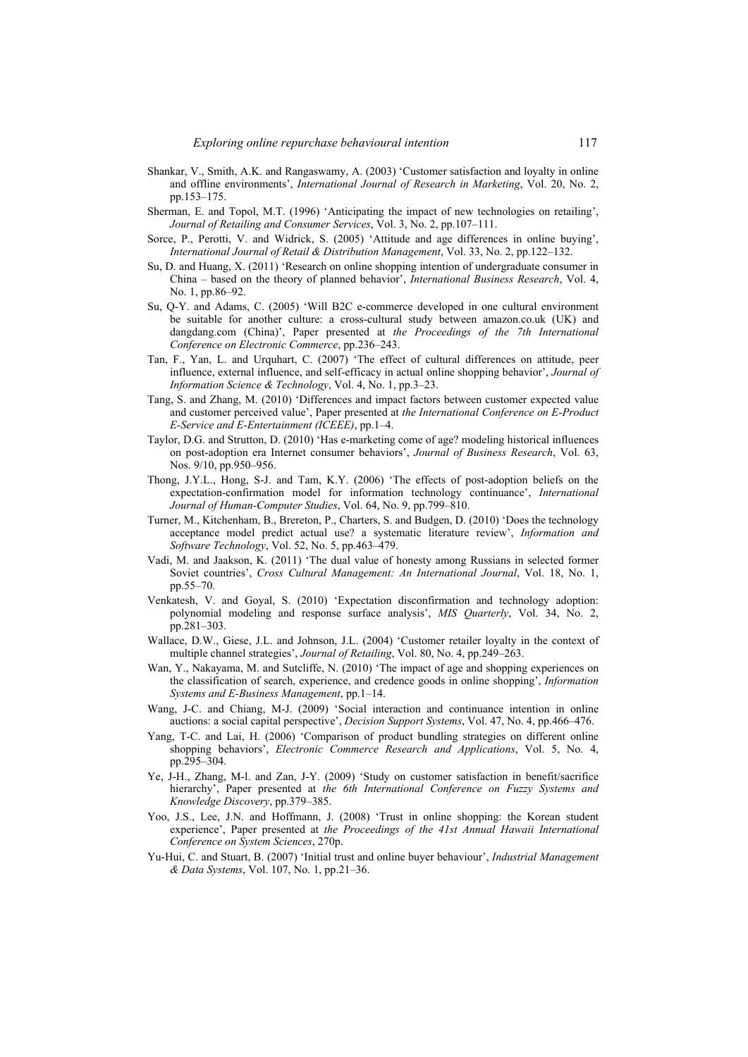- Shankar, V., Smith, A.K. and Rangaswamy, A. (2003) 'Customer satisfaction and loyalty in online and offline environments', *International Journal of Research in Marketing*, Vol. 20, No. 2, pp.153–175.
- Sherman, E. and Topol, M.T. (1996) 'Anticipating the impact of new technologies on retailing', *Journal of Retailing and Consumer Services*, Vol. 3, No. 2, pp.107–111.
- Sorce, P., Perotti, V. and Widrick, S. (2005) 'Attitude and age differences in online buying', *International Journal of Retail & Distribution Management*, Vol. 33, No. 2, pp.122–132.
- Su, D. and Huang, X. (2011) 'Research on online shopping intention of undergraduate consumer in China – based on the theory of planned behavior', *International Business Research*, Vol. 4, No. 1, pp.86–92.
- Su, Q-Y. and Adams, C. (2005) 'Will B2C e-commerce developed in one cultural environment be suitable for another culture: a cross-cultural study between amazon.co.uk (UK) and dangdang.com (China)', Paper presented at *the Proceedings of the 7th International Conference on Electronic Commerce*, pp.236–243.
- Tan, F., Yan, L. and Urquhart, C. (2007) 'The effect of cultural differences on attitude, peer influence, external influence, and self-efficacy in actual online shopping behavior', *Journal of Information Science & Technology*, Vol. 4, No. 1, pp.3–23.
- Tang, S. and Zhang, M. (2010) 'Differences and impact factors between customer expected value and customer perceived value', Paper presented at *the International Conference on E-Product E-Service and E-Entertainment (ICEEE)*, pp.1–4.
- Taylor, D.G. and Strutton, D. (2010) 'Has e-marketing come of age? modeling historical influences on post-adoption era Internet consumer behaviors', *Journal of Business Research*, Vol. 63, Nos. 9/10, pp.950–956.
- Thong, J.Y.L., Hong, S-J. and Tam, K.Y. (2006) 'The effects of post-adoption beliefs on the expectation-confirmation model for information technology continuance', *International Journal of Human-Computer Studies*, Vol. 64, No. 9, pp.799–810.
- Turner, M., Kitchenham, B., Brereton, P., Charters, S. and Budgen, D. (2010) 'Does the technology acceptance model predict actual use? a systematic literature review', *Information and Software Technology*, Vol. 52, No. 5, pp.463–479.
- Vadi, M. and Jaakson, K. (2011) 'The dual value of honesty among Russians in selected former Soviet countries', *Cross Cultural Management: An International Journal*, Vol. 18, No. 1, pp.55–70.
- Venkatesh, V. and Goyal, S. (2010) 'Expectation disconfirmation and technology adoption: polynomial modeling and response surface analysis', *MIS Quarterly*, Vol. 34, No. 2, pp.281–303.
- Wallace, D.W., Giese, J.L. and Johnson, J.L. (2004) 'Customer retailer loyalty in the context of multiple channel strategies', *Journal of Retailing*, Vol. 80, No. 4, pp.249–263.
- Wan, Y., Nakayama, M. and Sutcliffe, N. (2010) 'The impact of age and shopping experiences on the classification of search, experience, and credence goods in online shopping', *Information Systems and E-Business Management*, pp.1–14.
- Wang, J-C. and Chiang, M-J. (2009) 'Social interaction and continuance intention in online auctions: a social capital perspective', *Decision Support Systems*, Vol. 47, No. 4, pp.466–476.
- Yang, T-C. and Lai, H. (2006) 'Comparison of product bundling strategies on different online shopping behaviors', *Electronic Commerce Research and Applications*, Vol. 5, No. 4, pp.295–304.
- Ye, J-H., Zhang, M-l. and Zan, J-Y. (2009) 'Study on customer satisfaction in benefit/sacrifice hierarchy', Paper presented at *the 6th International Conference on Fuzzy Systems and Knowledge Discovery*, pp.379–385.
- Yoo, J.S., Lee, J.N. and Hoffmann, J. (2008) 'Trust in online shopping: the Korean student experience', Paper presented at *the Proceedings of the 41st Annual Hawaii International Conference on System Sciences*, 270p.
- Yu-Hui, C. and Stuart, B. (2007) 'Initial trust and online buyer behaviour', *Industrial Management & Data Systems*, Vol. 107, No. 1, pp.21–36.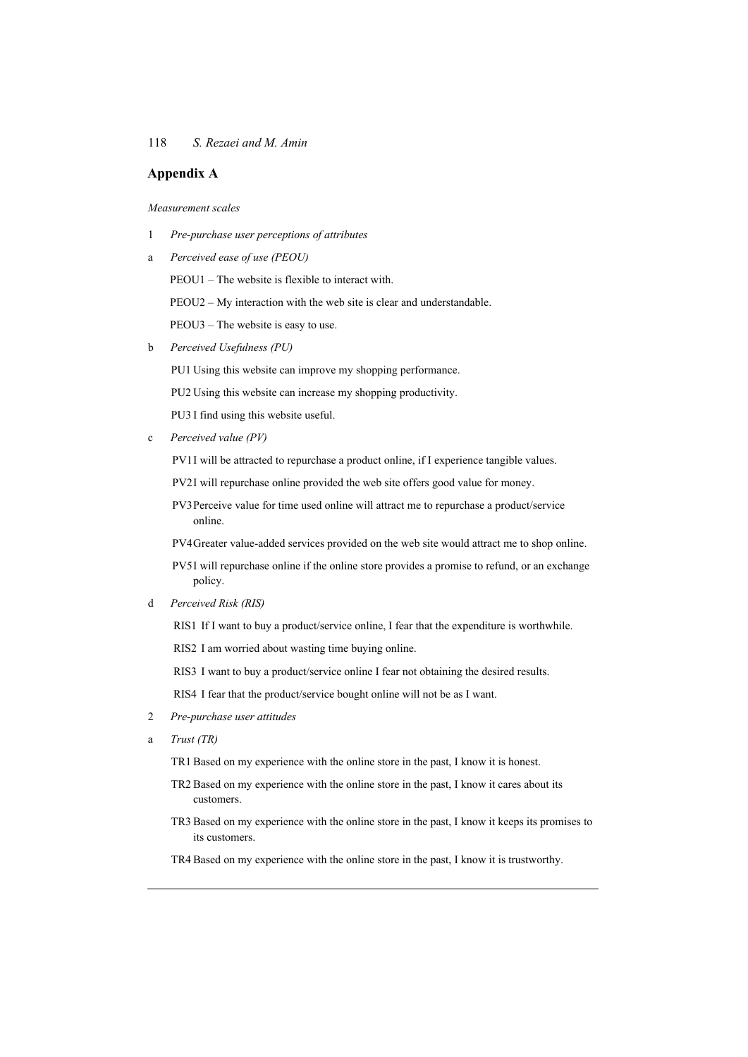# **Appendix A**

#### *Measurement scales*

- 1 *Pre-purchase user perceptions of attributes*
- a *Perceived ease of use (PEOU)* 
	- PEOU1 The website is flexible to interact with.
	- PEOU2 My interaction with the web site is clear and understandable.

PEOU3 – The website is easy to use.

b *Perceived Usefulness (PU)* 

PU1 Using this website can improve my shopping performance.

PU2 Using this website can increase my shopping productivity.

- PU3 I find using this website useful.
- c *Perceived value (PV)*

PV1I will be attracted to repurchase a product online, if I experience tangible values.

PV2I will repurchase online provided the web site offers good value for money.

PV3 Perceive value for time used online will attract me to repurchase a product/service online.

PV4 Greater value-added services provided on the web site would attract me to shop online.

- PV5I will repurchase online if the online store provides a promise to refund, or an exchange policy.
- d *Perceived Risk (RIS)*

RIS1 If I want to buy a product/service online, I fear that the expenditure is worthwhile.

RIS2 I am worried about wasting time buying online.

RIS3 I want to buy a product/service online I fear not obtaining the desired results.

RIS4 I fear that the product/service bought online will not be as I want.

- 2 *Pre-purchase user attitudes*
- a *Trust (TR)*

TR1 Based on my experience with the online store in the past, I know it is honest.

- TR2 Based on my experience with the online store in the past, I know it cares about its customers.
- TR3 Based on my experience with the online store in the past, I know it keeps its promises to its customers.

TR4 Based on my experience with the online store in the past, I know it is trustworthy.